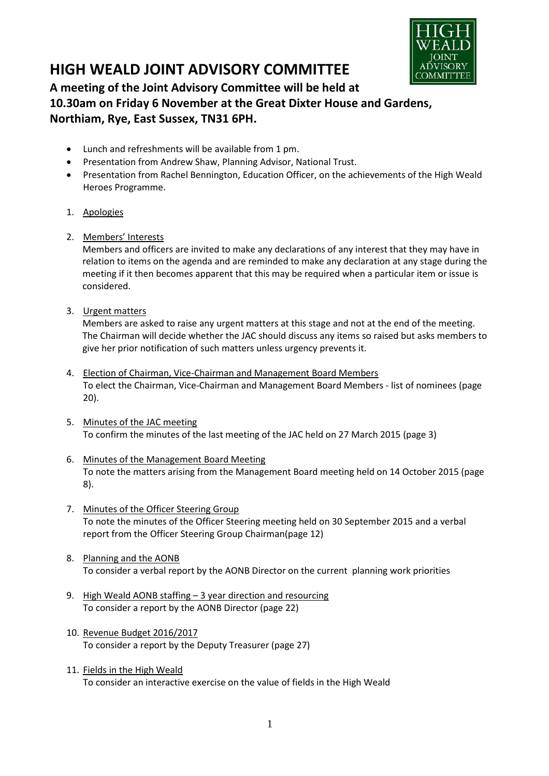

# **HIGH WEALD JOINT ADVISORY COMMITTEE**

# **A meeting of the Joint Advisory Committee will be held at 10.30am on Friday 6 November at the Great Dixter House and Gardens, Northiam, Rye, East Sussex, TN31 6PH.**

- Lunch and refreshments will be available from 1 pm.
- Presentation from Andrew Shaw, Planning Advisor, National Trust.
- Presentation from Rachel Bennington, Education Officer, on the achievements of the High Weald Heroes Programme.
- 1. Apologies
- 2. Members' Interests

Members and officers are invited to make any declarations of any interest that they may have in relation to items on the agenda and are reminded to make any declaration at any stage during the meeting if it then becomes apparent that this may be required when a particular item or issue is considered.

3. Urgent matters

Members are asked to raise any urgent matters at this stage and not at the end of the meeting. The Chairman will decide whether the JAC should discuss any items so raised but asks members to give her prior notification of such matters unless urgency prevents it.

- 4. Election of Chairman, Vice-Chairman and Management Board Members To elect the Chairman, Vice-Chairman and Management Board Members - list of nominees (page 20).
- 5. Minutes of the JAC meeting To confirm the minutes of the last meeting of the JAC held on 27 March 2015 (page 3)
- 6. Minutes of the Management Board Meeting To note the matters arising from the Management Board meeting held on 14 October 2015 (page 8).
- 7. Minutes of the Officer Steering Group To note the minutes of the Officer Steering meeting held on 30 September 2015 and a verbal report from the Officer Steering Group Chairman(page 12)
- 8. Planning and the AONB To consider a verbal report by the AONB Director on the current planning work priorities
- 9. High Weald AONB staffing 3 year direction and resourcing To consider a report by the AONB Director (page 22)
- 10. Revenue Budget 2016/2017 To consider a report by the Deputy Treasurer (page 27)
- 11. Fields in the High Weald To consider an interactive exercise on the value of fields in the High Weald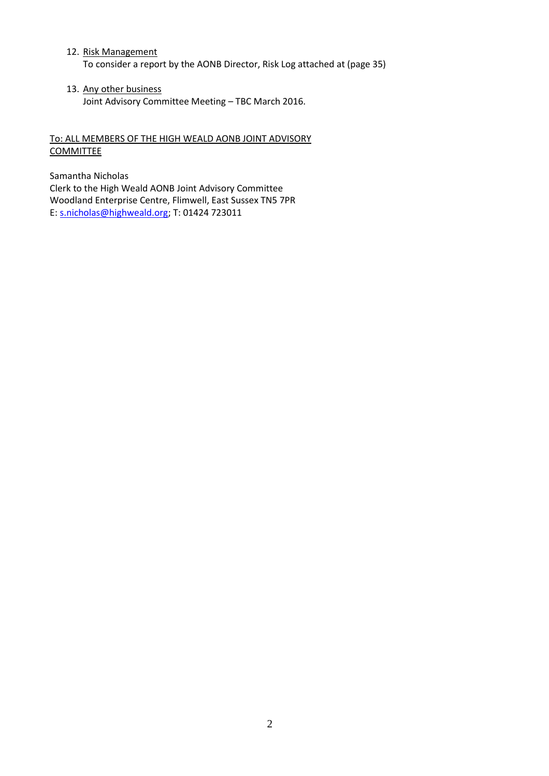- 12. Risk Management To consider a report by the AONB Director, Risk Log attached at (page 35)
- 13. Any other business Joint Advisory Committee Meeting – TBC March 2016.

# To: ALL MEMBERS OF THE HIGH WEALD AONB JOINT ADVISORY **COMMITTEE**

Samantha Nicholas Clerk to the High Weald AONB Joint Advisory Committee Woodland Enterprise Centre, Flimwell, East Sussex TN5 7PR E: s.nicholas@highweald.org; T: 01424 723011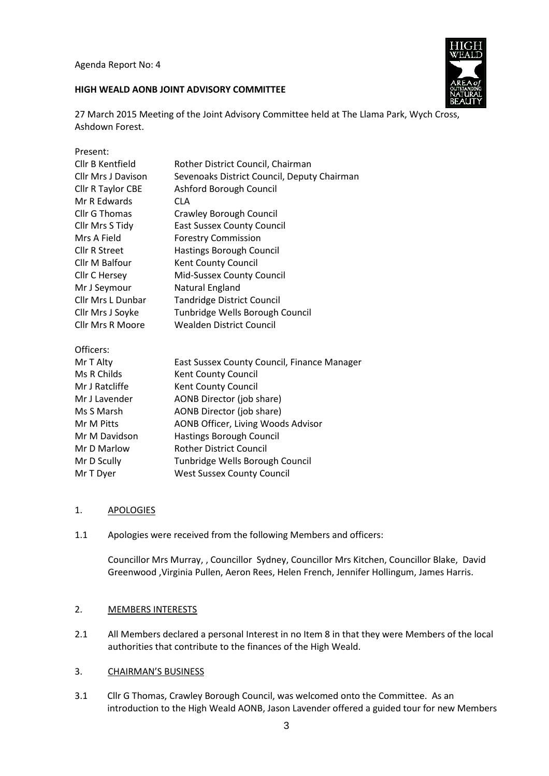Agenda Report No: 4

# **HIGH WEALD AONB JOINT ADVISORY COMMITTEE**



27 March 2015 Meeting of the Joint Advisory Committee held at The Llama Park, Wych Cross, Ashdown Forest.

| Present:                  |                                             |
|---------------------------|---------------------------------------------|
| Cllr B Kentfield          | Rother District Council, Chairman           |
| <b>Cllr Mrs J Davison</b> | Sevenoaks District Council, Deputy Chairman |
| Cllr R Taylor CBE         | Ashford Borough Council                     |
| Mr R Edwards              | <b>CLA</b>                                  |
| Cllr G Thomas             | Crawley Borough Council                     |
| Cllr Mrs S Tidy           | <b>East Sussex County Council</b>           |
| Mrs A Field               | <b>Forestry Commission</b>                  |
| Cllr R Street             | Hastings Borough Council                    |
| Cllr M Balfour            | Kent County Council                         |
| Cllr C Hersey             | Mid-Sussex County Council                   |
| Mr J Seymour              | Natural England                             |
| Cllr Mrs L Dunbar         | <b>Tandridge District Council</b>           |
| Cllr Mrs J Soyke          | Tunbridge Wells Borough Council             |
| <b>Cllr Mrs R Moore</b>   | <b>Wealden District Council</b>             |
| Officers:                 |                                             |
| Mr T Alty                 | East Sussex County Council, Finance Manager |
| Ms R Childs               | Kent County Council                         |
| Mr J Ratcliffe            | Kent County Council                         |
| Mr J Lavender             | AONB Director (job share)                   |
| Ms S Marsh                | AONB Director (job share)                   |
| Mr M Pitts                | AONB Officer, Living Woods Advisor          |
| Mr M Davidson             | Hastings Borough Council                    |
| Mr D Marlow               | <b>Rother District Council</b>              |
| Mr D Scully               | Tunbridge Wells Borough Council             |
| Mr T Dyer                 | <b>West Sussex County Council</b>           |

#### 1. APOLOGIES

1.1 Apologies were received from the following Members and officers:

Councillor Mrs Murray, , Councillor Sydney, Councillor Mrs Kitchen, Councillor Blake, David Greenwood ,Virginia Pullen, Aeron Rees, Helen French, Jennifer Hollingum, James Harris.

#### 2. MEMBERS INTERESTS

2.1 All Members declared a personal Interest in no Item 8 in that they were Members of the local authorities that contribute to the finances of the High Weald.

#### 3. CHAIRMAN'S BUSINESS

3.1 Cllr G Thomas, Crawley Borough Council, was welcomed onto the Committee. As an introduction to the High Weald AONB, Jason Lavender offered a guided tour for new Members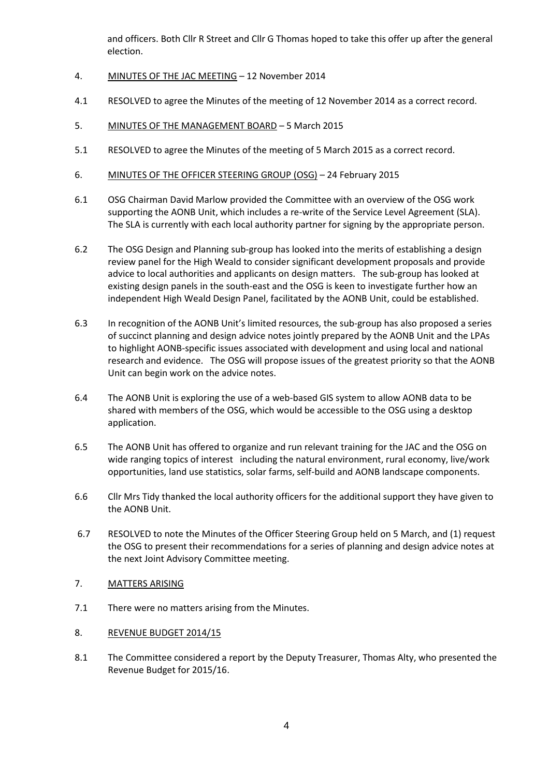and officers. Both Cllr R Street and Cllr G Thomas hoped to take this offer up after the general election.

- 4. MINUTES OF THE JAC MEETING 12 November 2014
- 4.1 RESOLVED to agree the Minutes of the meeting of 12 November 2014 as a correct record.
- 5. MINUTES OF THE MANAGEMENT BOARD 5 March 2015
- 5.1 RESOLVED to agree the Minutes of the meeting of 5 March 2015 as a correct record.
- 6. MINUTES OF THE OFFICER STEERING GROUP (OSG) 24 February 2015
- 6.1 OSG Chairman David Marlow provided the Committee with an overview of the OSG work supporting the AONB Unit, which includes a re-write of the Service Level Agreement (SLA). The SLA is currently with each local authority partner for signing by the appropriate person.
- 6.2 The OSG Design and Planning sub-group has looked into the merits of establishing a design review panel for the High Weald to consider significant development proposals and provide advice to local authorities and applicants on design matters. The sub-group has looked at existing design panels in the south-east and the OSG is keen to investigate further how an independent High Weald Design Panel, facilitated by the AONB Unit, could be established.
- 6.3 In recognition of the AONB Unit's limited resources, the sub-group has also proposed a series of succinct planning and design advice notes jointly prepared by the AONB Unit and the LPAs to highlight AONB-specific issues associated with development and using local and national research and evidence. The OSG will propose issues of the greatest priority so that the AONB Unit can begin work on the advice notes.
- 6.4 The AONB Unit is exploring the use of a web-based GIS system to allow AONB data to be shared with members of the OSG, which would be accessible to the OSG using a desktop application.
- 6.5 The AONB Unit has offered to organize and run relevant training for the JAC and the OSG on wide ranging topics of interest including the natural environment, rural economy, live/work opportunities, land use statistics, solar farms, self-build and AONB landscape components.
- 6.6 Cllr Mrs Tidy thanked the local authority officers for the additional support they have given to the AONB Unit.
- 6.7 RESOLVED to note the Minutes of the Officer Steering Group held on 5 March, and (1) request the OSG to present their recommendations for a series of planning and design advice notes at the next Joint Advisory Committee meeting.
- 7. MATTERS ARISING
- 7.1 There were no matters arising from the Minutes.
- 8. REVENUE BUDGET 2014/15
- 8.1 The Committee considered a report by the Deputy Treasurer, Thomas Alty, who presented the Revenue Budget for 2015/16.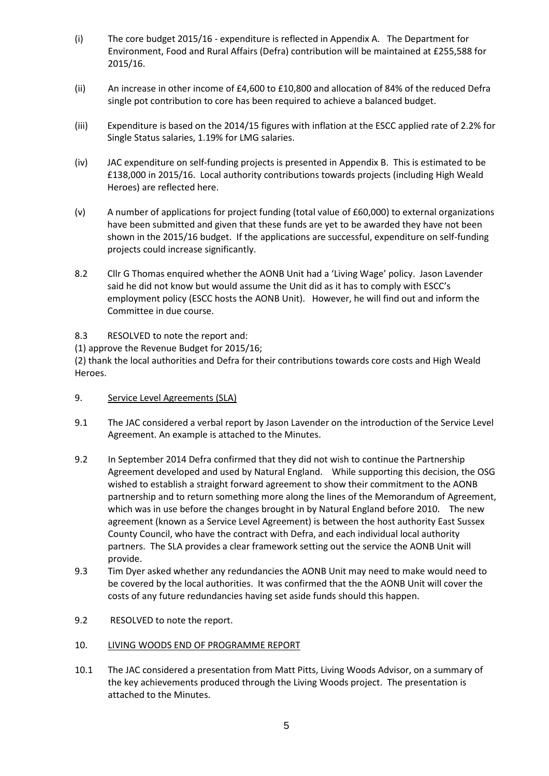- (i) The core budget 2015/16 expenditure is reflected in Appendix A. The Department for Environment, Food and Rural Affairs (Defra) contribution will be maintained at £255,588 for 2015/16.
- (ii) An increase in other income of £4,600 to £10,800 and allocation of 84% of the reduced Defra single pot contribution to core has been required to achieve a balanced budget.
- (iii) Expenditure is based on the 2014/15 figures with inflation at the ESCC applied rate of 2.2% for Single Status salaries, 1.19% for LMG salaries.
- (iv) JAC expenditure on self-funding projects is presented in Appendix B. This is estimated to be £138,000 in 2015/16. Local authority contributions towards projects (including High Weald Heroes) are reflected here.
- (v) A number of applications for project funding (total value of £60,000) to external organizations have been submitted and given that these funds are yet to be awarded they have not been shown in the 2015/16 budget. If the applications are successful, expenditure on self-funding projects could increase significantly.
- 8.2 Cllr G Thomas enquired whether the AONB Unit had a 'Living Wage' policy. Jason Lavender said he did not know but would assume the Unit did as it has to comply with ESCC's employment policy (ESCC hosts the AONB Unit). However, he will find out and inform the Committee in due course.
- 8.3 RESOLVED to note the report and:

(1) approve the Revenue Budget for 2015/16;

(2) thank the local authorities and Defra for their contributions towards core costs and High Weald Heroes.

- 9. Service Level Agreements (SLA)
- 9.1 The JAC considered a verbal report by Jason Lavender on the introduction of the Service Level Agreement. An example is attached to the Minutes.
- 9.2 In September 2014 Defra confirmed that they did not wish to continue the Partnership Agreement developed and used by Natural England. While supporting this decision, the OSG wished to establish a straight forward agreement to show their commitment to the AONB partnership and to return something more along the lines of the Memorandum of Agreement, which was in use before the changes brought in by Natural England before 2010. The new agreement (known as a Service Level Agreement) is between the host authority East Sussex County Council, who have the contract with Defra, and each individual local authority partners. The SLA provides a clear framework setting out the service the AONB Unit will provide.
- 9.3 Tim Dyer asked whether any redundancies the AONB Unit may need to make would need to be covered by the local authorities. It was confirmed that the the AONB Unit will cover the costs of any future redundancies having set aside funds should this happen.
- 9.2 RESOLVED to note the report.
- 10. LIVING WOODS END OF PROGRAMME REPORT
- 10.1 The JAC considered a presentation from Matt Pitts, Living Woods Advisor, on a summary of the key achievements produced through the Living Woods project. The presentation is attached to the Minutes.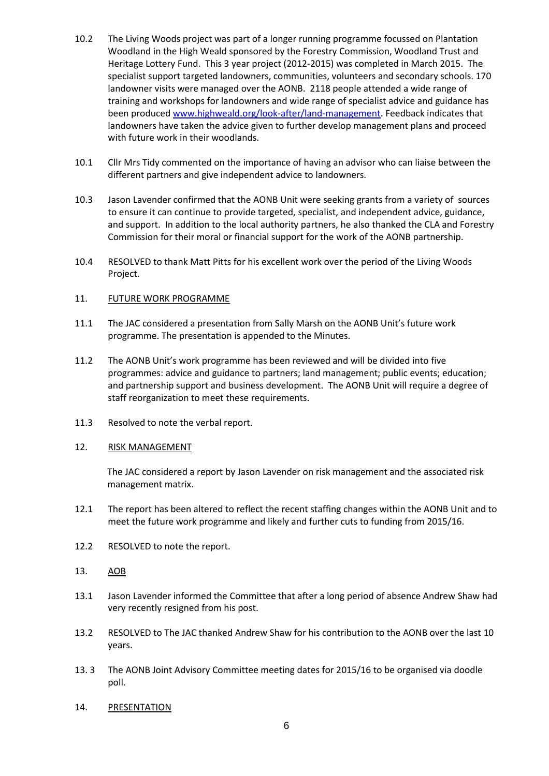- 10.2 The Living Woods project was part of a longer running programme focussed on Plantation Woodland in the High Weald sponsored by the Forestry Commission, Woodland Trust and Heritage Lottery Fund. This 3 year project (2012-2015) was completed in March 2015. The specialist support targeted landowners, communities, volunteers and secondary schools. 170 landowner visits were managed over the AONB. 2118 people attended a wide range of training and workshops for landowners and wide range of specialist advice and guidance has been produced www.highweald.org/look-after/land-management. Feedback indicates that landowners have taken the advice given to further develop management plans and proceed with future work in their woodlands.
- 10.1 Cllr Mrs Tidy commented on the importance of having an advisor who can liaise between the different partners and give independent advice to landowners.
- 10.3 Jason Lavender confirmed that the AONB Unit were seeking grants from a variety of sources to ensure it can continue to provide targeted, specialist, and independent advice, guidance, and support. In addition to the local authority partners, he also thanked the CLA and Forestry Commission for their moral or financial support for the work of the AONB partnership.
- 10.4 RESOLVED to thank Matt Pitts for his excellent work over the period of the Living Woods Project.

#### 11. FUTURE WORK PROGRAMME

- 11.1 The JAC considered a presentation from Sally Marsh on the AONB Unit's future work programme. The presentation is appended to the Minutes.
- 11.2 The AONB Unit's work programme has been reviewed and will be divided into five programmes: advice and guidance to partners; land management; public events; education; and partnership support and business development. The AONB Unit will require a degree of staff reorganization to meet these requirements.
- 11.3 Resolved to note the verbal report.

#### 12. RISK MANAGEMENT

The JAC considered a report by Jason Lavender on risk management and the associated risk management matrix.

- 12.1 The report has been altered to reflect the recent staffing changes within the AONB Unit and to meet the future work programme and likely and further cuts to funding from 2015/16.
- 12.2 RESOLVED to note the report.
- 13. AOB
- 13.1 Jason Lavender informed the Committee that after a long period of absence Andrew Shaw had very recently resigned from his post.
- 13.2 RESOLVED to The JAC thanked Andrew Shaw for his contribution to the AONB over the last 10 years.
- 13. 3 The AONB Joint Advisory Committee meeting dates for 2015/16 to be organised via doodle poll.
- 14. PRESENTATION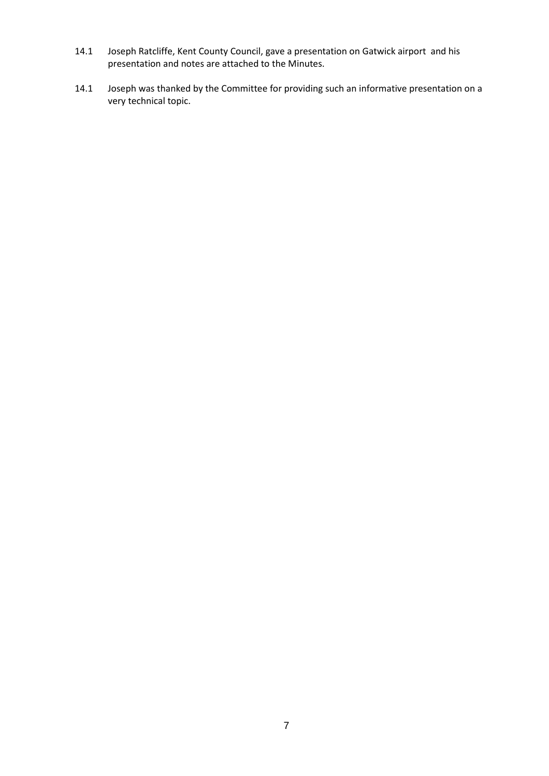- 14.1 Joseph Ratcliffe, Kent County Council, gave a presentation on Gatwick airport and his presentation and notes are attached to the Minutes.
- 14.1 Joseph was thanked by the Committee for providing such an informative presentation on a very technical topic.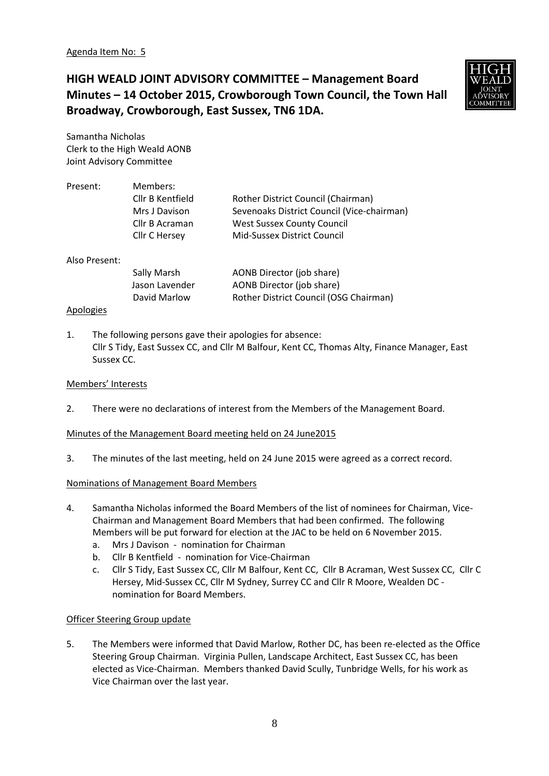**HIGH WEALD JOINT ADVISORY COMMITTEE – Management Board Minutes – 14 October 2015, Crowborough Town Council, the Town Hall Broadway, Crowborough, East Sussex, TN6 1DA.**



Samantha Nicholas Clerk to the High Weald AONB Joint Advisory Committee

| Present:             | Members:         |                                            |
|----------------------|------------------|--------------------------------------------|
|                      | Cllr B Kentfield | Rother District Council (Chairman)         |
|                      | Mrs J Davison    | Sevenoaks District Council (Vice-chairman) |
|                      | Cllr B Acraman   | <b>West Sussex County Council</b>          |
|                      | Cllr C Hersey    | Mid-Sussex District Council                |
| Also Present:        |                  |                                            |
|                      | Sally Marsh      | AONB Director (job share)                  |
|                      | Jason Lavender   | AONB Director (job share)                  |
|                      | David Marlow     | Rother District Council (OSG Chairman)     |
| $\sim$ $\sim$ $\sim$ |                  |                                            |

#### Apologies

1. The following persons gave their apologies for absence: Cllr S Tidy, East Sussex CC, and Cllr M Balfour, Kent CC, Thomas Alty, Finance Manager, East Sussex CC.

#### Members' Interests

2. There were no declarations of interest from the Members of the Management Board.

#### Minutes of the Management Board meeting held on 24 June2015

3. The minutes of the last meeting, held on 24 June 2015 were agreed as a correct record.

#### Nominations of Management Board Members

- 4. Samantha Nicholas informed the Board Members of the list of nominees for Chairman, Vice-Chairman and Management Board Members that had been confirmed. The following Members will be put forward for election at the JAC to be held on 6 November 2015.
	- a. Mrs J Davison nomination for Chairman
	- b. Cllr B Kentfield nomination for Vice-Chairman
	- c. Cllr S Tidy, East Sussex CC, Cllr M Balfour, Kent CC, Cllr B Acraman, West Sussex CC, Cllr C Hersey, Mid-Sussex CC, Cllr M Sydney, Surrey CC and Cllr R Moore, Wealden DC nomination for Board Members.

#### Officer Steering Group update

5. The Members were informed that David Marlow, Rother DC, has been re-elected as the Office Steering Group Chairman. Virginia Pullen, Landscape Architect, East Sussex CC, has been elected as Vice-Chairman. Members thanked David Scully, Tunbridge Wells, for his work as Vice Chairman over the last year.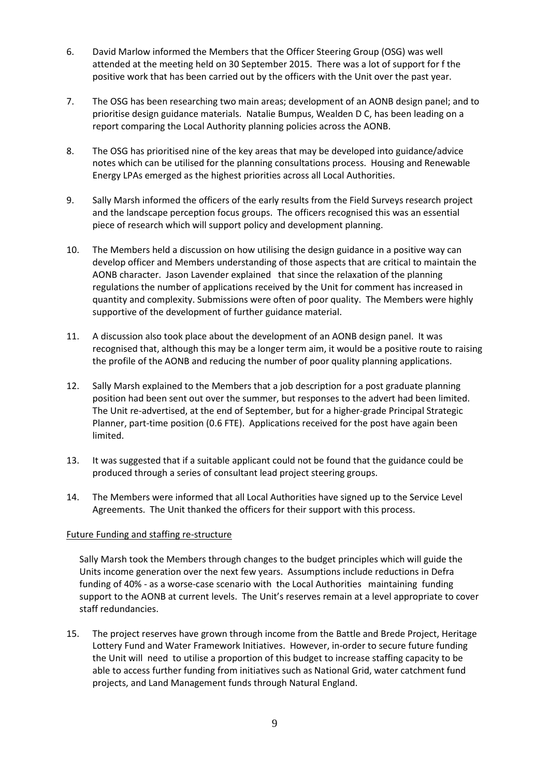- 6. David Marlow informed the Members that the Officer Steering Group (OSG) was well attended at the meeting held on 30 September 2015. There was a lot of support for f the positive work that has been carried out by the officers with the Unit over the past year.
- 7. The OSG has been researching two main areas; development of an AONB design panel; and to prioritise design guidance materials. Natalie Bumpus, Wealden D C, has been leading on a report comparing the Local Authority planning policies across the AONB.
- 8. The OSG has prioritised nine of the key areas that may be developed into guidance/advice notes which can be utilised for the planning consultations process. Housing and Renewable Energy LPAs emerged as the highest priorities across all Local Authorities.
- 9. Sally Marsh informed the officers of the early results from the Field Surveys research project and the landscape perception focus groups. The officers recognised this was an essential piece of research which will support policy and development planning.
- 10. The Members held a discussion on how utilising the design guidance in a positive way can develop officer and Members understanding of those aspects that are critical to maintain the AONB character. Jason Lavender explained that since the relaxation of the planning regulations the number of applications received by the Unit for comment has increased in quantity and complexity. Submissions were often of poor quality. The Members were highly supportive of the development of further guidance material.
- 11. A discussion also took place about the development of an AONB design panel. It was recognised that, although this may be a longer term aim, it would be a positive route to raising the profile of the AONB and reducing the number of poor quality planning applications.
- 12. Sally Marsh explained to the Members that a job description for a post graduate planning position had been sent out over the summer, but responses to the advert had been limited. The Unit re-advertised, at the end of September, but for a higher-grade Principal Strategic Planner, part-time position (0.6 FTE). Applications received for the post have again been limited.
- 13. It was suggested that if a suitable applicant could not be found that the guidance could be produced through a series of consultant lead project steering groups.
- 14. The Members were informed that all Local Authorities have signed up to the Service Level Agreements. The Unit thanked the officers for their support with this process.

#### Future Funding and staffing re-structure

Sally Marsh took the Members through changes to the budget principles which will guide the Units income generation over the next few years. Assumptions include reductions in Defra funding of 40% - as a worse-case scenario with the Local Authorities maintaining funding support to the AONB at current levels. The Unit's reserves remain at a level appropriate to cover staff redundancies.

15. The project reserves have grown through income from the Battle and Brede Project, Heritage Lottery Fund and Water Framework Initiatives. However, in-order to secure future funding the Unit will need to utilise a proportion of this budget to increase staffing capacity to be able to access further funding from initiatives such as National Grid, water catchment fund projects, and Land Management funds through Natural England.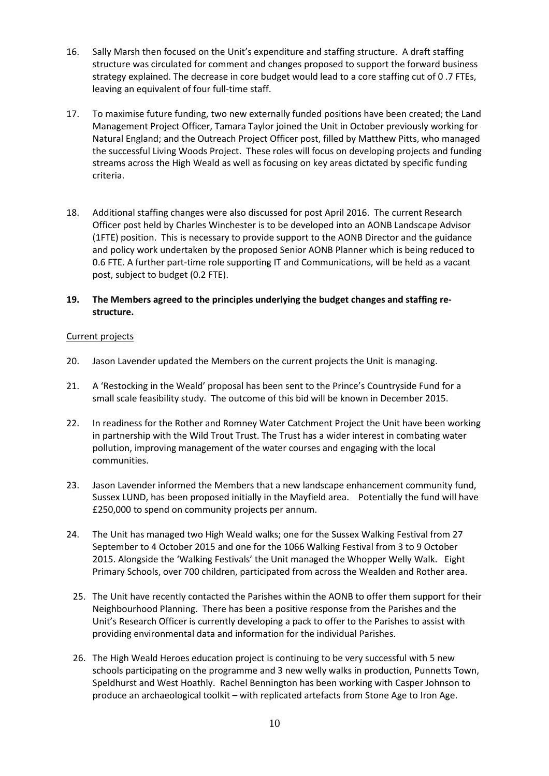- 16. Sally Marsh then focused on the Unit's expenditure and staffing structure. A draft staffing structure was circulated for comment and changes proposed to support the forward business strategy explained. The decrease in core budget would lead to a core staffing cut of 0 .7 FTEs, leaving an equivalent of four full-time staff.
- 17. To maximise future funding, two new externally funded positions have been created; the Land Management Project Officer, Tamara Taylor joined the Unit in October previously working for Natural England; and the Outreach Project Officer post, filled by Matthew Pitts, who managed the successful Living Woods Project. These roles will focus on developing projects and funding streams across the High Weald as well as focusing on key areas dictated by specific funding criteria.
- 18. Additional staffing changes were also discussed for post April 2016. The current Research Officer post held by Charles Winchester is to be developed into an AONB Landscape Advisor (1FTE) position. This is necessary to provide support to the AONB Director and the guidance and policy work undertaken by the proposed Senior AONB Planner which is being reduced to 0.6 FTE. A further part-time role supporting IT and Communications, will be held as a vacant post, subject to budget (0.2 FTE).

### **19. The Members agreed to the principles underlying the budget changes and staffing restructure.**

#### Current projects

- 20. Jason Lavender updated the Members on the current projects the Unit is managing.
- 21. A 'Restocking in the Weald' proposal has been sent to the Prince's Countryside Fund for a small scale feasibility study. The outcome of this bid will be known in December 2015.
- 22. In readiness for the Rother and Romney Water Catchment Project the Unit have been working in partnership with the Wild Trout Trust. The Trust has a wider interest in combating water pollution, improving management of the water courses and engaging with the local communities.
- 23. Jason Lavender informed the Members that a new landscape enhancement community fund, Sussex LUND, has been proposed initially in the Mayfield area. Potentially the fund will have £250,000 to spend on community projects per annum.
- 24. The Unit has managed two High Weald walks; one for the Sussex Walking Festival from 27 September to 4 October 2015 and one for the 1066 Walking Festival from 3 to 9 October 2015. Alongside the 'Walking Festivals' the Unit managed the Whopper Welly Walk. Eight Primary Schools, over 700 children, participated from across the Wealden and Rother area.
	- 25. The Unit have recently contacted the Parishes within the AONB to offer them support for their Neighbourhood Planning. There has been a positive response from the Parishes and the Unit's Research Officer is currently developing a pack to offer to the Parishes to assist with providing environmental data and information for the individual Parishes.
	- 26. The High Weald Heroes education project is continuing to be very successful with 5 new schools participating on the programme and 3 new welly walks in production, Punnetts Town, Speldhurst and West Hoathly. Rachel Bennington has been working with Casper Johnson to produce an archaeological toolkit – with replicated artefacts from Stone Age to Iron Age.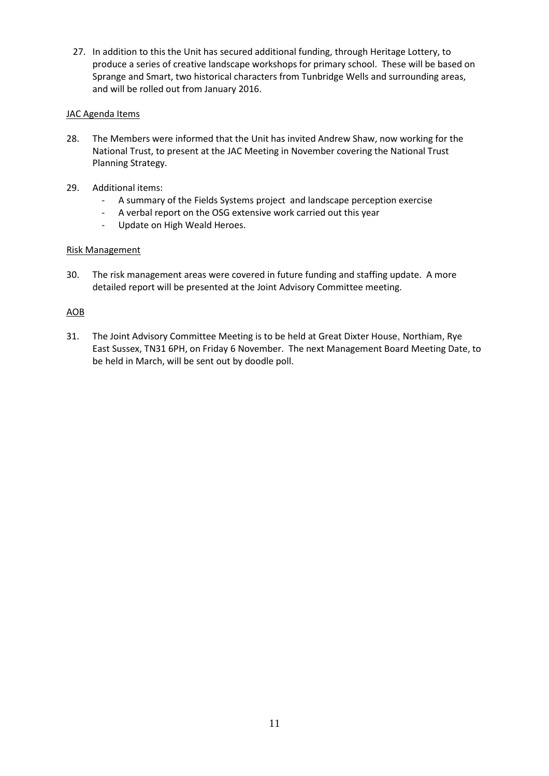27. In addition to this the Unit has secured additional funding, through Heritage Lottery, to produce a series of creative landscape workshops for primary school. These will be based on Sprange and Smart, two historical characters from Tunbridge Wells and surrounding areas, and will be rolled out from January 2016.

### JAC Agenda Items

- 28. The Members were informed that the Unit has invited Andrew Shaw, now working for the National Trust, to present at the JAC Meeting in November covering the National Trust Planning Strategy.
- 29. Additional items:
	- A summary of the Fields Systems project and landscape perception exercise
	- A verbal report on the OSG extensive work carried out this year
	- Update on High Weald Heroes.

#### Risk Management

30. The risk management areas were covered in future funding and staffing update. A more detailed report will be presented at the Joint Advisory Committee meeting.

## AOB

31. The Joint Advisory Committee Meeting is to be held at Great Dixter House, Northiam, Rye East Sussex, TN31 6PH, on Friday 6 November. The next Management Board Meeting Date, to be held in March, will be sent out by doodle poll.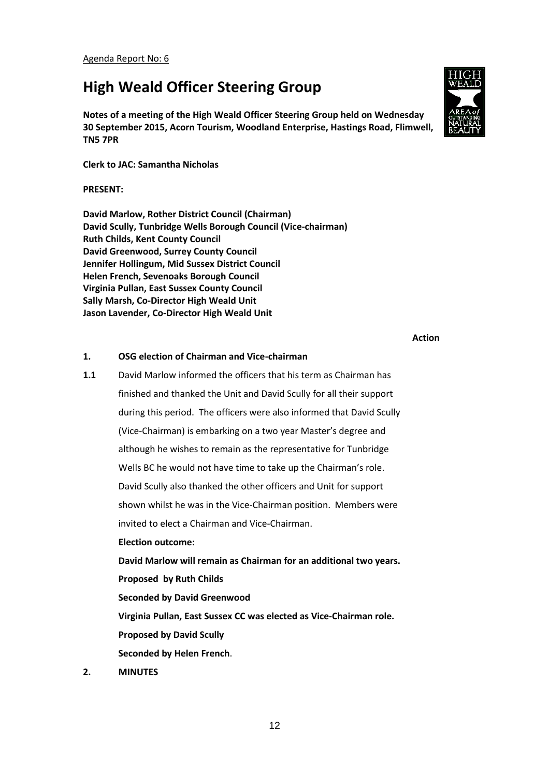# **High Weald Officer Steering Group**

**Notes of a meeting of the High Weald Officer Steering Group held on Wednesday 30 September 2015, Acorn Tourism, Woodland Enterprise, Hastings Road, Flimwell, TN5 7PR**

**Clerk to JAC: Samantha Nicholas**

#### **PRESENT:**

**David Marlow, Rother District Council (Chairman) David Scully, Tunbridge Wells Borough Council (Vice-chairman) Ruth Childs, Kent County Council David Greenwood, Surrey County Council Jennifer Hollingum, Mid Sussex District Council Helen French, Sevenoaks Borough Council Virginia Pullan, East Sussex County Council Sally Marsh, Co-Director High Weald Unit Jason Lavender, Co-Director High Weald Unit**

**Action**

#### **1. OSG election of Chairman and Vice-chairman**

- **1.1** David Marlow informed the officers that his term as Chairman has finished and thanked the Unit and David Scully for all their support during this period. The officers were also informed that David Scully (Vice-Chairman) is embarking on a two year Master's degree and although he wishes to remain as the representative for Tunbridge Wells BC he would not have time to take up the Chairman's role. David Scully also thanked the other officers and Unit for support shown whilst he was in the Vice-Chairman position. Members were invited to elect a Chairman and Vice-Chairman. **Election outcome: David Marlow will remain as Chairman for an additional two years. Proposed by Ruth Childs Seconded by David Greenwood Virginia Pullan, East Sussex CC was elected as Vice-Chairman role. Proposed by David Scully Seconded by Helen French**.
- **2. MINUTES**

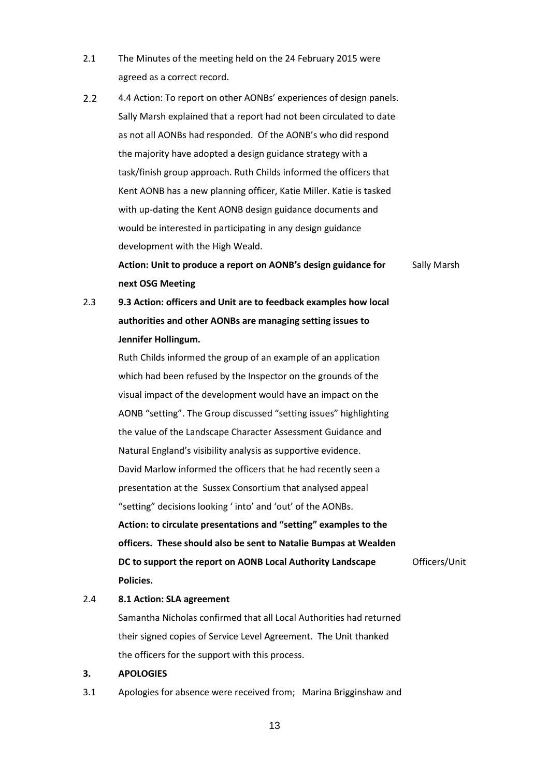- 2.1 The Minutes of the meeting held on the 24 February 2015 were agreed as a correct record.
- 2.2 4.4 Action: To report on other AONBs' experiences of design panels. Sally Marsh explained that a report had not been circulated to date as not all AONBs had responded. Of the AONB's who did respond the majority have adopted a design guidance strategy with a task/finish group approach. Ruth Childs informed the officers that Kent AONB has a new planning officer, Katie Miller. Katie is tasked with up-dating the Kent AONB design guidance documents and would be interested in participating in any design guidance development with the High Weald.

**Action: Unit to produce a report on AONB's design guidance for next OSG Meeting** Sally Marsh

2.3 **9.3 Action: officers and Unit are to feedback examples how local authorities and other AONBs are managing setting issues to Jennifer Hollingum.**

> Ruth Childs informed the group of an example of an application which had been refused by the Inspector on the grounds of the visual impact of the development would have an impact on the AONB "setting". The Group discussed "setting issues" highlighting the value of the Landscape Character Assessment Guidance and Natural England's visibility analysis as supportive evidence. David Marlow informed the officers that he had recently seen a presentation at the Sussex Consortium that analysed appeal "setting" decisions looking ' into' and 'out' of the AONBs. **Action: to circulate presentations and "setting" examples to the officers. These should also be sent to Natalie Bumpas at Wealden DC to support the report on AONB Local Authority Landscape Policies.** Officers/Unit

#### 2.4 **8.1 Action: SLA agreement**

Samantha Nicholas confirmed that all Local Authorities had returned their signed copies of Service Level Agreement. The Unit thanked the officers for the support with this process.

#### **3. APOLOGIES**

3.1 Apologies for absence were received from; Marina Brigginshaw and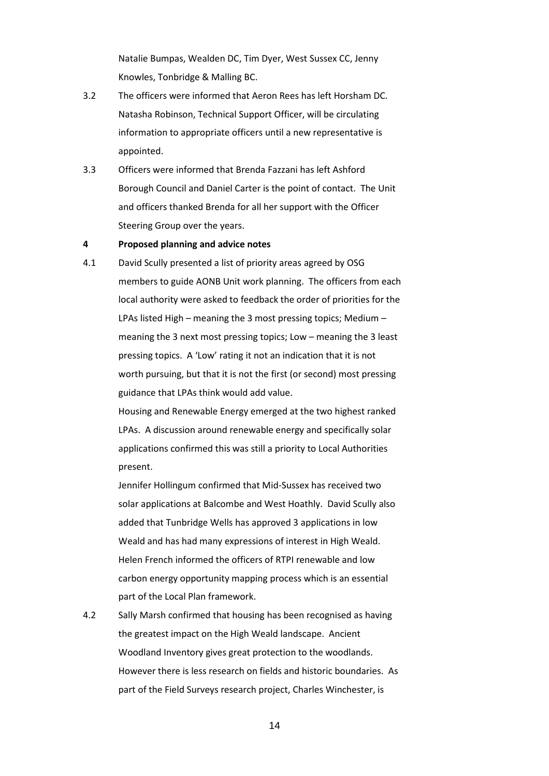Natalie Bumpas, Wealden DC, Tim Dyer, West Sussex CC, Jenny Knowles, Tonbridge & Malling BC.

- 3.2 The officers were informed that Aeron Rees has left Horsham DC. Natasha Robinson, Technical Support Officer, will be circulating information to appropriate officers until a new representative is appointed.
- 3.3 Officers were informed that Brenda Fazzani has left Ashford Borough Council and Daniel Carter is the point of contact. The Unit and officers thanked Brenda for all her support with the Officer Steering Group over the years.

#### **4 Proposed planning and advice notes**

4.1 David Scully presented a list of priority areas agreed by OSG members to guide AONB Unit work planning. The officers from each local authority were asked to feedback the order of priorities for the LPAs listed High – meaning the 3 most pressing topics; Medium – meaning the 3 next most pressing topics; Low – meaning the 3 least pressing topics. A 'Low' rating it not an indication that it is not worth pursuing, but that it is not the first (or second) most pressing guidance that LPAs think would add value.

> Housing and Renewable Energy emerged at the two highest ranked LPAs. A discussion around renewable energy and specifically solar applications confirmed this was still a priority to Local Authorities present.

> Jennifer Hollingum confirmed that Mid-Sussex has received two solar applications at Balcombe and West Hoathly. David Scully also added that Tunbridge Wells has approved 3 applications in low Weald and has had many expressions of interest in High Weald. Helen French informed the officers of RTPI renewable and low carbon energy opportunity mapping process which is an essential part of the Local Plan framework.

4.2 Sally Marsh confirmed that housing has been recognised as having the greatest impact on the High Weald landscape. Ancient Woodland Inventory gives great protection to the woodlands. However there is less research on fields and historic boundaries. As part of the Field Surveys research project, Charles Winchester, is

14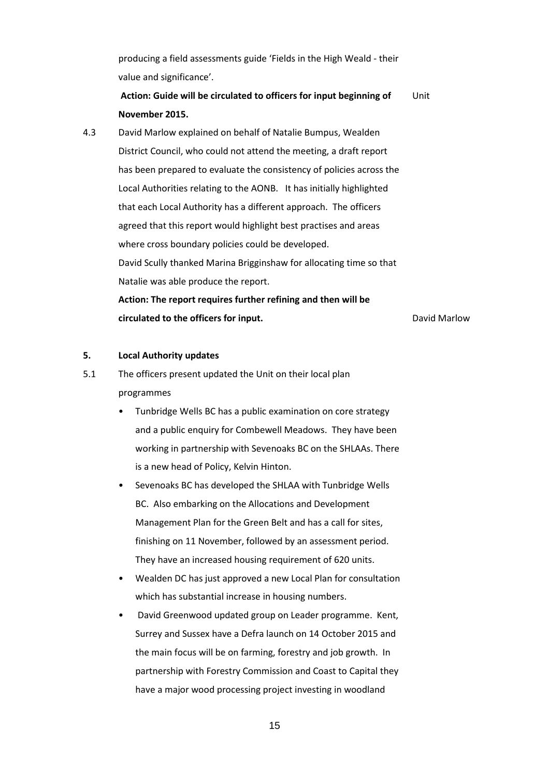producing a field assessments guide 'Fields in the High Weald - their value and significance'.

**Action: Guide will be circulated to officers for input beginning of November 2015.** Unit

4.3 David Marlow explained on behalf of Natalie Bumpus, Wealden District Council, who could not attend the meeting, a draft report has been prepared to evaluate the consistency of policies across the Local Authorities relating to the AONB. It has initially highlighted that each Local Authority has a different approach. The officers agreed that this report would highlight best practises and areas where cross boundary policies could be developed. David Scully thanked Marina Brigginshaw for allocating time so that Natalie was able produce the report. **Action: The report requires further refining and then will be circulated to the officers for input.** The control of the David Marlow

#### **5. Local Authority updates**

- 5.1 The officers present updated the Unit on their local plan programmes
	- Tunbridge Wells BC has a public examination on core strategy and a public enquiry for Combewell Meadows. They have been working in partnership with Sevenoaks BC on the SHLAAs. There is a new head of Policy, Kelvin Hinton.
	- Sevenoaks BC has developed the SHLAA with Tunbridge Wells BC. Also embarking on the Allocations and Development Management Plan for the Green Belt and has a call for sites, finishing on 11 November, followed by an assessment period. They have an increased housing requirement of 620 units.
	- Wealden DC has just approved a new Local Plan for consultation which has substantial increase in housing numbers.
	- David Greenwood updated group on Leader programme. Kent, Surrey and Sussex have a Defra launch on 14 October 2015 and the main focus will be on farming, forestry and job growth. In partnership with Forestry Commission and Coast to Capital they have a major wood processing project investing in woodland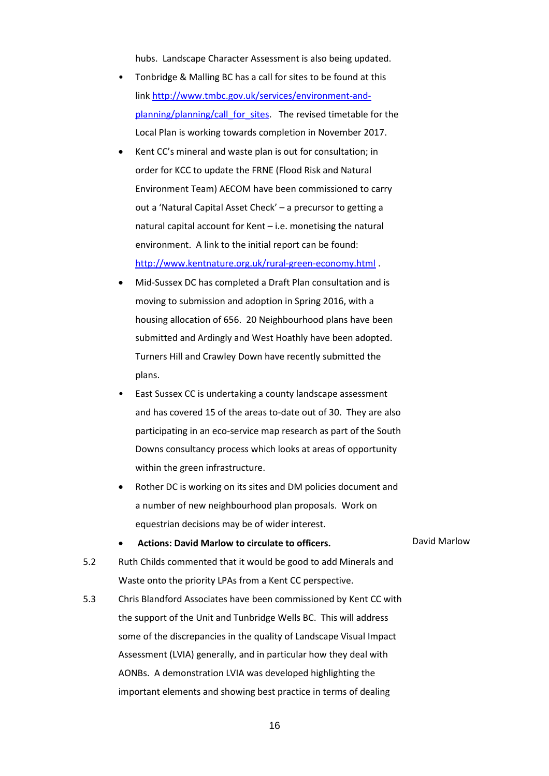hubs. Landscape Character Assessment is also being updated.

- Tonbridge & Malling BC has a call for sites to be found at this link http://www.tmbc.gov.uk/services/environment-andplanning/planning/call\_for\_sites. The revised timetable for the Local Plan is working towards completion in November 2017.
- Kent CC's mineral and waste plan is out for consultation; in order for KCC to update the FRNE (Flood Risk and Natural Environment Team) AECOM have been commissioned to carry out a 'Natural Capital Asset Check' – a precursor to getting a natural capital account for Kent – i.e. monetising the natural environment. A link to the initial report can be found: http://www.kentnature.org.uk/rural-green-economy.html .
- Mid-Sussex DC has completed a Draft Plan consultation and is moving to submission and adoption in Spring 2016, with a housing allocation of 656. 20 Neighbourhood plans have been submitted and Ardingly and West Hoathly have been adopted. Turners Hill and Crawley Down have recently submitted the plans.
- East Sussex CC is undertaking a county landscape assessment and has covered 15 of the areas to-date out of 30. They are also participating in an eco-service map research as part of the South Downs consultancy process which looks at areas of opportunity within the green infrastructure.
- Rother DC is working on its sites and DM policies document and a number of new neighbourhood plan proposals. Work on equestrian decisions may be of wider interest.
- 5.2 Ruth Childs commented that it would be good to add Minerals and Waste onto the priority LPAs from a Kent CC perspective.
- 5.3 Chris Blandford Associates have been commissioned by Kent CC with the support of the Unit and Tunbridge Wells BC. This will address some of the discrepancies in the quality of Landscape Visual Impact Assessment (LVIA) generally, and in particular how they deal with AONBs. A demonstration LVIA was developed highlighting the important elements and showing best practice in terms of dealing

Actions: David Marlow to circulate to officers. **David Marlow**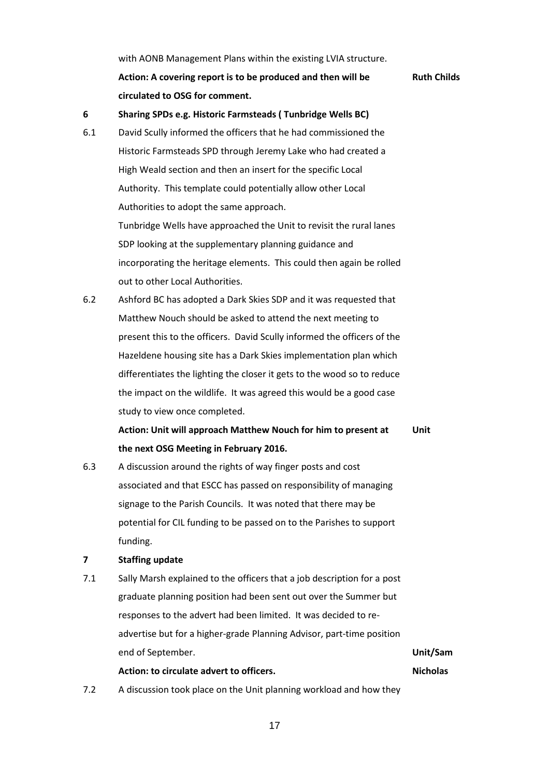with AONB Management Plans within the existing LVIA structure. **Action: A covering report is to be produced and then will be circulated to OSG for comment. Ruth Childs**

#### **6 Sharing SPDs e.g. Historic Farmsteads ( Tunbridge Wells BC)**

- 6.1 David Scully informed the officers that he had commissioned the Historic Farmsteads SPD through Jeremy Lake who had created a High Weald section and then an insert for the specific Local Authority. This template could potentially allow other Local Authorities to adopt the same approach. Tunbridge Wells have approached the Unit to revisit the rural lanes SDP looking at the supplementary planning guidance and incorporating the heritage elements. This could then again be rolled out to other Local Authorities.
- 6.2 Ashford BC has adopted a Dark Skies SDP and it was requested that Matthew Nouch should be asked to attend the next meeting to present this to the officers. David Scully informed the officers of the Hazeldene housing site has a Dark Skies implementation plan which differentiates the lighting the closer it gets to the wood so to reduce the impact on the wildlife. It was agreed this would be a good case study to view once completed.

**Action: Unit will approach Matthew Nouch for him to present at the next OSG Meeting in February 2016. Unit**

6.3 A discussion around the rights of way finger posts and cost associated and that ESCC has passed on responsibility of managing signage to the Parish Councils. It was noted that there may be potential for CIL funding to be passed on to the Parishes to support funding.

#### **7 Staffing update**

7.1 Sally Marsh explained to the officers that a job description for a post graduate planning position had been sent out over the Summer but responses to the advert had been limited. It was decided to readvertise but for a higher-grade Planning Advisor, part-time position end of September.

#### **Action: to circulate advert to officers.**

**Unit/Sam Nicholas**

7.2 A discussion took place on the Unit planning workload and how they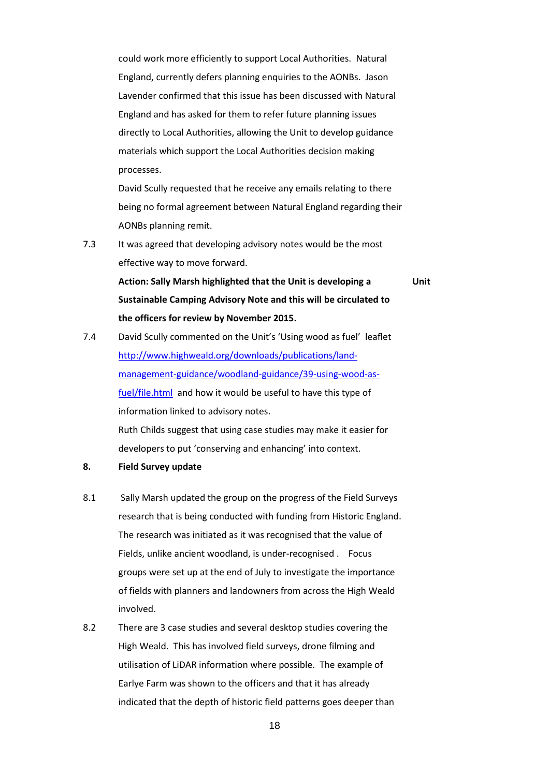could work more efficiently to support Local Authorities. Natural England, currently defers planning enquiries to the AONBs. Jason Lavender confirmed that this issue has been discussed with Natural England and has asked for them to refer future planning issues directly to Local Authorities, allowing the Unit to develop guidance materials which support the Local Authorities decision making processes.

David Scully requested that he receive any emails relating to there being no formal agreement between Natural England regarding their AONBs planning remit.

7.3 It was agreed that developing advisory notes would be the most effective way to move forward.

> **Action: Sally Marsh highlighted that the Unit is developing a Sustainable Camping Advisory Note and this will be circulated to the officers for review by November 2015.**

**Unit**

- 7.4 David Scully commented on the Unit's 'Using wood as fuel' leaflet http://www.highweald.org/downloads/publications/landmanagement-guidance/woodland-guidance/39-using-wood-asfuel/file.html and how it would be useful to have this type of information linked to advisory notes. Ruth Childs suggest that using case studies may make it easier for developers to put 'conserving and enhancing' into context.
- **8. Field Survey update**
- 8.1 Sally Marsh updated the group on the progress of the Field Surveys research that is being conducted with funding from Historic England. The research was initiated as it was recognised that the value of Fields, unlike ancient woodland, is under-recognised . Focus groups were set up at the end of July to investigate the importance of fields with planners and landowners from across the High Weald involved.
- 8.2 There are 3 case studies and several desktop studies covering the High Weald. This has involved field surveys, drone filming and utilisation of LiDAR information where possible. The example of Earlye Farm was shown to the officers and that it has already indicated that the depth of historic field patterns goes deeper than

18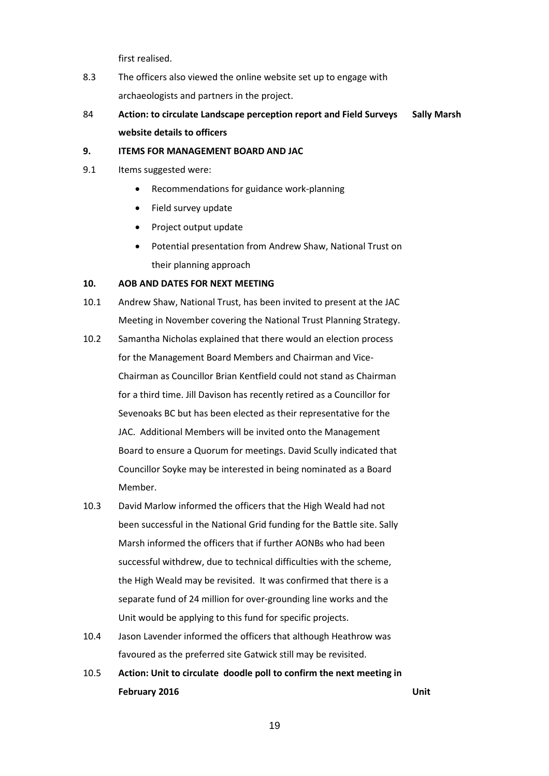first realised.

- 8.3 The officers also viewed the online website set up to engage with archaeologists and partners in the project.
- 84 **Action: to circulate Landscape perception report and Field Surveys website details to officers Sally Marsh**

#### **9. ITEMS FOR MANAGEMENT BOARD AND JAC**

- 9.1 Items suggested were:
	- Recommendations for guidance work-planning
	- Field survey update
	- Project output update
	- Potential presentation from Andrew Shaw, National Trust on their planning approach

#### **10. AOB AND DATES FOR NEXT MEETING**

- 10.1 Andrew Shaw, National Trust, has been invited to present at the JAC Meeting in November covering the National Trust Planning Strategy.
- 10.2 Samantha Nicholas explained that there would an election process for the Management Board Members and Chairman and Vice-Chairman as Councillor Brian Kentfield could not stand as Chairman for a third time. Jill Davison has recently retired as a Councillor for Sevenoaks BC but has been elected as their representative for the JAC. Additional Members will be invited onto the Management Board to ensure a Quorum for meetings. David Scully indicated that Councillor Soyke may be interested in being nominated as a Board Member.
- 10.3 David Marlow informed the officers that the High Weald had not been successful in the National Grid funding for the Battle site. Sally Marsh informed the officers that if further AONBs who had been successful withdrew, due to technical difficulties with the scheme, the High Weald may be revisited. It was confirmed that there is a separate fund of 24 million for over-grounding line works and the Unit would be applying to this fund for specific projects.
- 10.4 Jason Lavender informed the officers that although Heathrow was favoured as the preferred site Gatwick still may be revisited.
- 10.5 **Action: Unit to circulate doodle poll to confirm the next meeting in February 2016 Unit**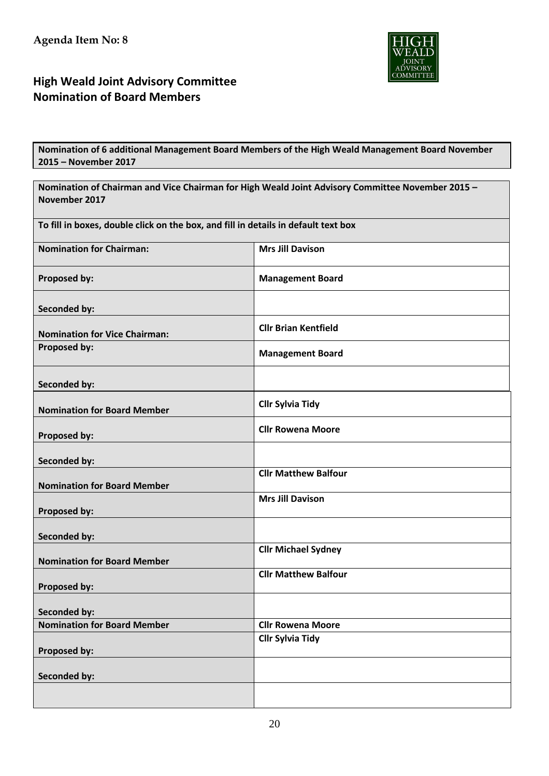

# **High Weald Joint Advisory Committee Nomination of Board Members**

**Nomination of 6 additional Management Board Members of the High Weald Management Board November 2015 – November 2017** 

| Nomination of Chairman and Vice Chairman for High Weald Joint Advisory Committee November 2015 - |                             |  |  |  |  |  |  |  |  |
|--------------------------------------------------------------------------------------------------|-----------------------------|--|--|--|--|--|--|--|--|
| November 2017                                                                                    |                             |  |  |  |  |  |  |  |  |
| To fill in boxes, double click on the box, and fill in details in default text box               |                             |  |  |  |  |  |  |  |  |
| <b>Nomination for Chairman:</b>                                                                  | <b>Mrs Jill Davison</b>     |  |  |  |  |  |  |  |  |
| Proposed by:                                                                                     | <b>Management Board</b>     |  |  |  |  |  |  |  |  |
| <b>Seconded by:</b>                                                                              |                             |  |  |  |  |  |  |  |  |
| <b>Nomination for Vice Chairman:</b>                                                             | <b>Cllr Brian Kentfield</b> |  |  |  |  |  |  |  |  |
| Proposed by:                                                                                     | <b>Management Board</b>     |  |  |  |  |  |  |  |  |
| <b>Seconded by:</b>                                                                              |                             |  |  |  |  |  |  |  |  |
| <b>Nomination for Board Member</b>                                                               | <b>Cllr Sylvia Tidy</b>     |  |  |  |  |  |  |  |  |
| Proposed by:                                                                                     | <b>Cllr Rowena Moore</b>    |  |  |  |  |  |  |  |  |
| Seconded by:                                                                                     |                             |  |  |  |  |  |  |  |  |
| <b>Nomination for Board Member</b>                                                               | <b>Cllr Matthew Balfour</b> |  |  |  |  |  |  |  |  |
| Proposed by:                                                                                     | <b>Mrs Jill Davison</b>     |  |  |  |  |  |  |  |  |
| <b>Seconded by:</b>                                                                              |                             |  |  |  |  |  |  |  |  |
| <b>Nomination for Board Member</b>                                                               | <b>Cllr Michael Sydney</b>  |  |  |  |  |  |  |  |  |
| Proposed by:                                                                                     | <b>Cllr Matthew Balfour</b> |  |  |  |  |  |  |  |  |
| <b>Seconded by:</b>                                                                              |                             |  |  |  |  |  |  |  |  |
| <b>Nomination for Board Member</b>                                                               | <b>Cllr Rowena Moore</b>    |  |  |  |  |  |  |  |  |
| Proposed by:                                                                                     | <b>Cllr Sylvia Tidy</b>     |  |  |  |  |  |  |  |  |
| <b>Seconded by:</b>                                                                              |                             |  |  |  |  |  |  |  |  |
|                                                                                                  |                             |  |  |  |  |  |  |  |  |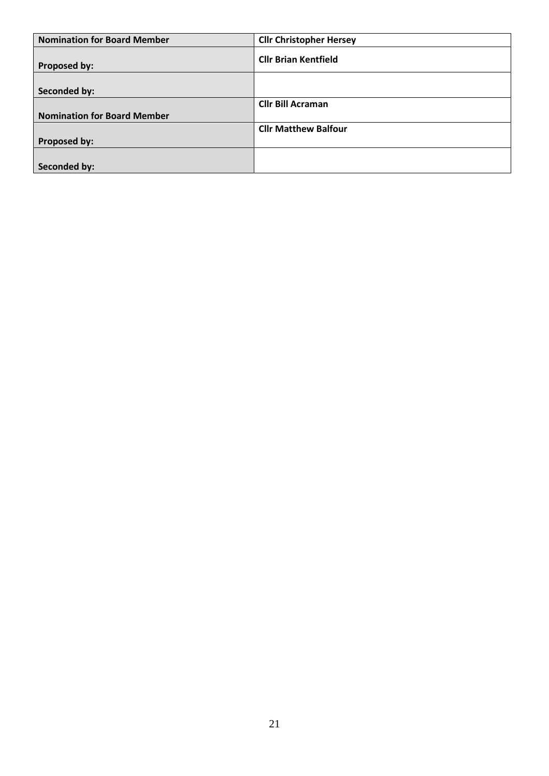| <b>Nomination for Board Member</b> | <b>Cllr Christopher Hersey</b> |
|------------------------------------|--------------------------------|
| Proposed by:                       | <b>Cllr Brian Kentfield</b>    |
|                                    |                                |
| Seconded by:                       |                                |
|                                    | <b>Cllr Bill Acraman</b>       |
| <b>Nomination for Board Member</b> |                                |
|                                    | <b>Cllr Matthew Balfour</b>    |
| Proposed by:                       |                                |
|                                    |                                |
| Seconded by:                       |                                |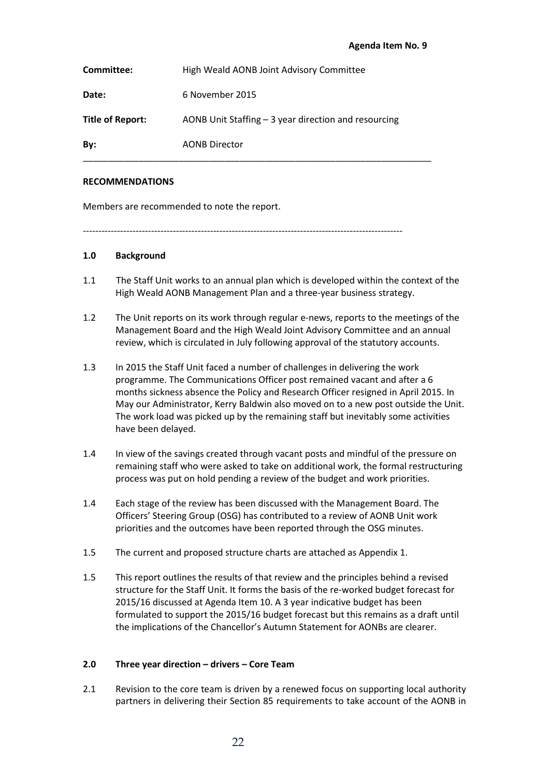| Committee:       | High Weald AONB Joint Advisory Committee              |
|------------------|-------------------------------------------------------|
| Date:            | 6 November 2015                                       |
| Title of Report: | AONB Unit Staffing $-3$ year direction and resourcing |
| By:              | <b>AONB Director</b>                                  |

#### **RECOMMENDATIONS**

Members are recommended to note the report.

-------------------------------------------------------------------------------------------------------

#### **1.0 Background**

- 1.1 The Staff Unit works to an annual plan which is developed within the context of the High Weald AONB Management Plan and a three-year business strategy.
- 1.2 The Unit reports on its work through regular e-news, reports to the meetings of the Management Board and the High Weald Joint Advisory Committee and an annual review, which is circulated in July following approval of the statutory accounts.
- 1.3 In 2015 the Staff Unit faced a number of challenges in delivering the work programme. The Communications Officer post remained vacant and after a 6 months sickness absence the Policy and Research Officer resigned in April 2015. In May our Administrator, Kerry Baldwin also moved on to a new post outside the Unit. The work load was picked up by the remaining staff but inevitably some activities have been delayed.
- 1.4 In view of the savings created through vacant posts and mindful of the pressure on remaining staff who were asked to take on additional work, the formal restructuring process was put on hold pending a review of the budget and work priorities.
- 1.4 Each stage of the review has been discussed with the Management Board. The Officers' Steering Group (OSG) has contributed to a review of AONB Unit work priorities and the outcomes have been reported through the OSG minutes.
- 1.5 The current and proposed structure charts are attached as Appendix 1.
- 1.5 This report outlines the results of that review and the principles behind a revised structure for the Staff Unit. It forms the basis of the re-worked budget forecast for 2015/16 discussed at Agenda Item 10. A 3 year indicative budget has been formulated to support the 2015/16 budget forecast but this remains as a draft until the implications of the Chancellor's Autumn Statement for AONBs are clearer.

#### **2.0 Three year direction – drivers – Core Team**

2.1 Revision to the core team is driven by a renewed focus on supporting local authority partners in delivering their Section 85 requirements to take account of the AONB in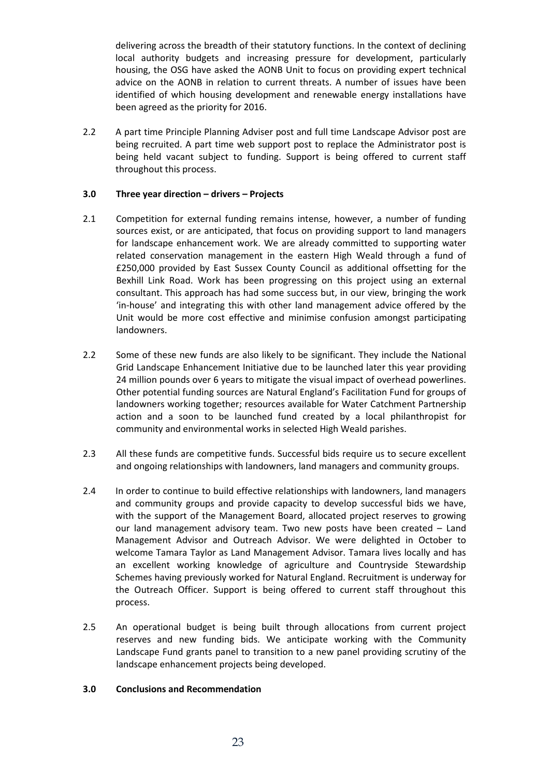delivering across the breadth of their statutory functions. In the context of declining local authority budgets and increasing pressure for development, particularly housing, the OSG have asked the AONB Unit to focus on providing expert technical advice on the AONB in relation to current threats. A number of issues have been identified of which housing development and renewable energy installations have been agreed as the priority for 2016.

2.2 A part time Principle Planning Adviser post and full time Landscape Advisor post are being recruited. A part time web support post to replace the Administrator post is being held vacant subject to funding. Support is being offered to current staff throughout this process.

#### **3.0 Three year direction – drivers – Projects**

- 2.1 Competition for external funding remains intense, however, a number of funding sources exist, or are anticipated, that focus on providing support to land managers for landscape enhancement work. We are already committed to supporting water related conservation management in the eastern High Weald through a fund of £250,000 provided by East Sussex County Council as additional offsetting for the Bexhill Link Road. Work has been progressing on this project using an external consultant. This approach has had some success but, in our view, bringing the work 'in-house' and integrating this with other land management advice offered by the Unit would be more cost effective and minimise confusion amongst participating landowners.
- 2.2 Some of these new funds are also likely to be significant. They include the National Grid Landscape Enhancement Initiative due to be launched later this year providing 24 million pounds over 6 years to mitigate the visual impact of overhead powerlines. Other potential funding sources are Natural England's Facilitation Fund for groups of landowners working together; resources available for Water Catchment Partnership action and a soon to be launched fund created by a local philanthropist for community and environmental works in selected High Weald parishes.
- 2.3 All these funds are competitive funds. Successful bids require us to secure excellent and ongoing relationships with landowners, land managers and community groups.
- 2.4 In order to continue to build effective relationships with landowners, land managers and community groups and provide capacity to develop successful bids we have, with the support of the Management Board, allocated project reserves to growing our land management advisory team. Two new posts have been created – Land Management Advisor and Outreach Advisor. We were delighted in October to welcome Tamara Taylor as Land Management Advisor. Tamara lives locally and has an excellent working knowledge of agriculture and Countryside Stewardship Schemes having previously worked for Natural England. Recruitment is underway for the Outreach Officer. Support is being offered to current staff throughout this process.
- 2.5 An operational budget is being built through allocations from current project reserves and new funding bids. We anticipate working with the Community Landscape Fund grants panel to transition to a new panel providing scrutiny of the landscape enhancement projects being developed.

#### **3.0 Conclusions and Recommendation**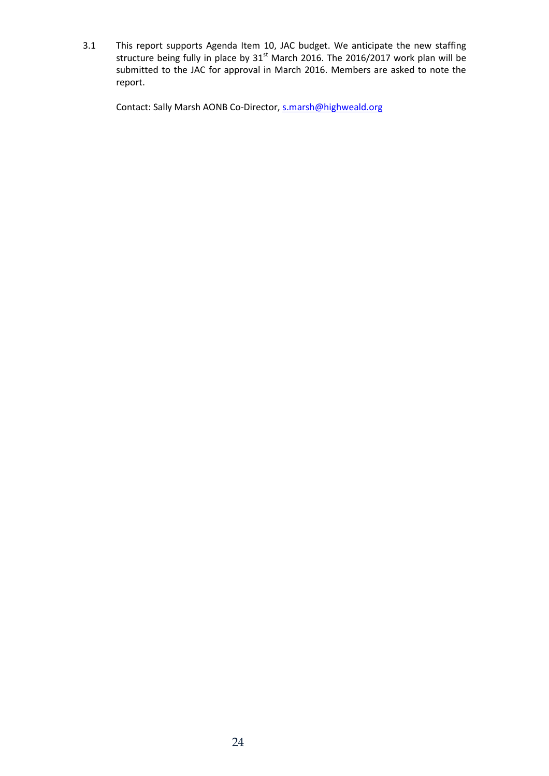3.1 This report supports Agenda Item 10, JAC budget. We anticipate the new staffing structure being fully in place by  $31<sup>st</sup>$  March 2016. The 2016/2017 work plan will be submitted to the JAC for approval in March 2016. Members are asked to note the report.

Contact: Sally Marsh AONB Co-Director, s.marsh@highweald.org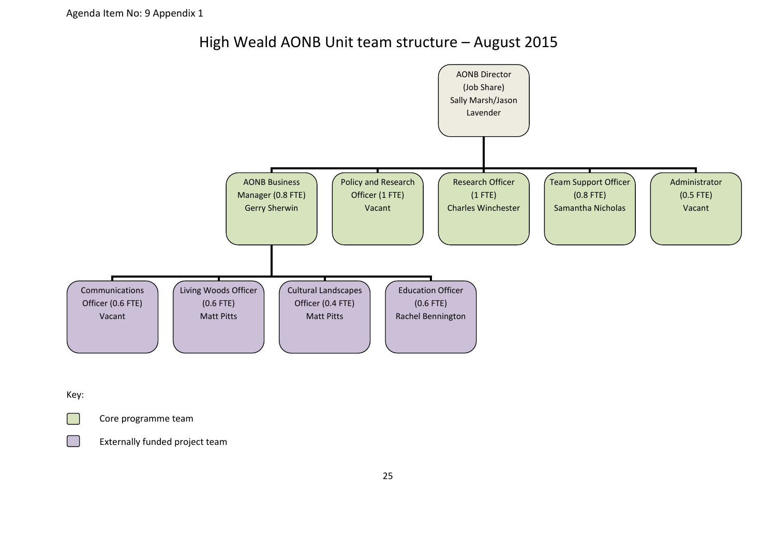High Weald AONB Unit team structure – August 2015



Key:

**Core programme team** 

Externally funded project team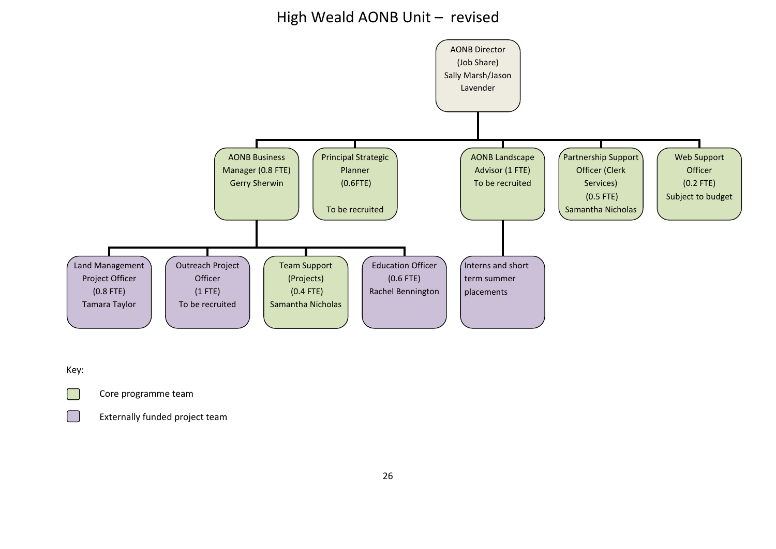# High Weald AONB Unit – revised



Key:

Core programme team

Externally funded project team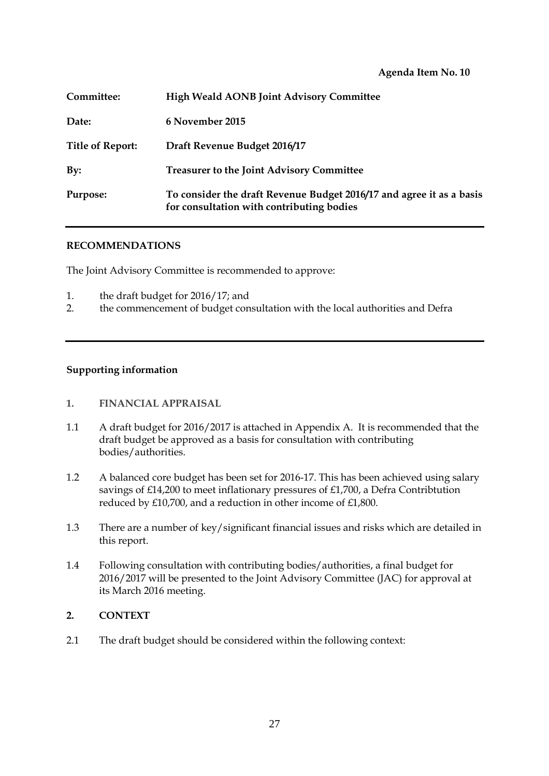**Agenda Item No. 10**

| Committee:              | <b>High Weald AONB Joint Advisory Committee</b>                                                                   |
|-------------------------|-------------------------------------------------------------------------------------------------------------------|
| Date:                   | 6 November 2015                                                                                                   |
| <b>Title of Report:</b> | Draft Revenue Budget 2016/17                                                                                      |
| By:                     | <b>Treasurer to the Joint Advisory Committee</b>                                                                  |
| Purpose:                | To consider the draft Revenue Budget 2016/17 and agree it as a basis<br>for consultation with contributing bodies |

#### **RECOMMENDATIONS**

The Joint Advisory Committee is recommended to approve:

- 1. the draft budget for 2016/17; and
- 2. the commencement of budget consultation with the local authorities and Defra

#### **Supporting information**

#### **1. FINANCIAL APPRAISAL**

- 1.1 A draft budget for 2016/2017 is attached in Appendix A. It is recommended that the draft budget be approved as a basis for consultation with contributing bodies/authorities.
- 1.2 A balanced core budget has been set for 2016-17. This has been achieved using salary savings of £14,200 to meet inflationary pressures of £1,700, a Defra Contribtution reduced by £10,700, and a reduction in other income of £1,800.
- 1.3 There are a number of key/significant financial issues and risks which are detailed in this report.
- 1.4 Following consultation with contributing bodies/authorities, a final budget for 2016/2017 will be presented to the Joint Advisory Committee (JAC) for approval at its March 2016 meeting.

## **2. CONTEXT**

2.1 The draft budget should be considered within the following context: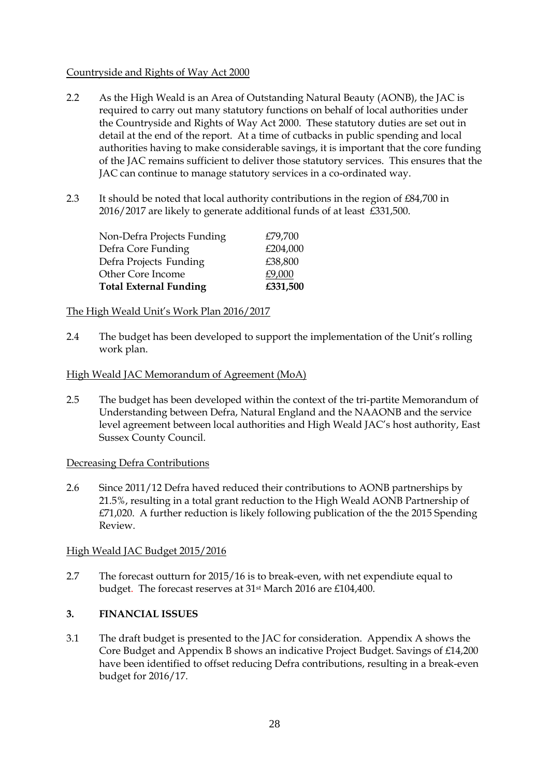## Countryside and Rights of Way Act 2000

- 2.2 As the High Weald is an Area of Outstanding Natural Beauty (AONB), the JAC is required to carry out many statutory functions on behalf of local authorities under the Countryside and Rights of Way Act 2000. These statutory duties are set out in detail at the end of the report. At a time of cutbacks in public spending and local authorities having to make considerable savings, it is important that the core funding of the JAC remains sufficient to deliver those statutory services. This ensures that the JAC can continue to manage statutory services in a co-ordinated way.
- 2.3 It should be noted that local authority contributions in the region of £84,700 in 2016/2017 are likely to generate additional funds of at least £331,500.

| Non-Defra Projects Funding    | £79,700  |
|-------------------------------|----------|
| Defra Core Funding            | £204,000 |
| Defra Projects Funding        | £38,800  |
| Other Core Income             | £9,000   |
| <b>Total External Funding</b> | £331,500 |

# The High Weald Unit's Work Plan 2016/2017

2.4 The budget has been developed to support the implementation of the Unit's rolling work plan.

# High Weald JAC Memorandum of Agreement (MoA)

2.5 The budget has been developed within the context of the tri-partite Memorandum of Understanding between Defra, Natural England and the NAAONB and the service level agreement between local authorities and High Weald JAC's host authority, East Sussex County Council.

## Decreasing Defra Contributions

2.6 Since 2011/12 Defra haved reduced their contributions to AONB partnerships by 21.5%, resulting in a total grant reduction to the High Weald AONB Partnership of £71,020. A further reduction is likely following publication of the the 2015 Spending Review.

## High Weald JAC Budget 2015/2016

2.7 The forecast outturn for 2015/16 is to break-even, with net expendiute equal to budget. The forecast reserves at 31<sup>st</sup> March 2016 are £104,400.

## **3. FINANCIAL ISSUES**

3.1 The draft budget is presented to the JAC for consideration. Appendix A shows the Core Budget and Appendix B shows an indicative Project Budget. Savings of £14,200 have been identified to offset reducing Defra contributions, resulting in a break-even budget for 2016/17.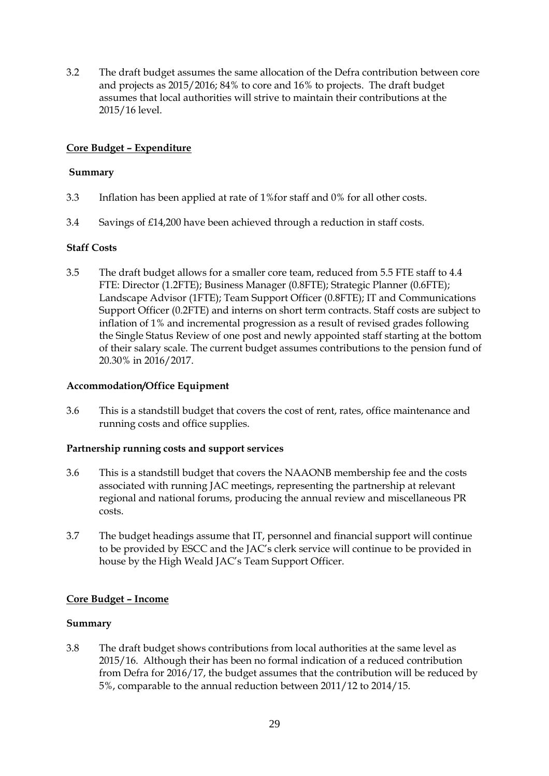3.2 The draft budget assumes the same allocation of the Defra contribution between core and projects as 2015/2016; 84% to core and 16% to projects. The draft budget assumes that local authorities will strive to maintain their contributions at the 2015/16 level.

# **Core Budget – Expenditure**

## **Summary**

- 3.3 Inflation has been applied at rate of 1%for staff and 0% for all other costs.
- 3.4 Savings of £14,200 have been achieved through a reduction in staff costs.

# **Staff Costs**

3.5 The draft budget allows for a smaller core team, reduced from 5.5 FTE staff to 4.4 FTE: Director (1.2FTE); Business Manager (0.8FTE); Strategic Planner (0.6FTE); Landscape Advisor (1FTE); Team Support Officer (0.8FTE); IT and Communications Support Officer (0.2FTE) and interns on short term contracts. Staff costs are subject to inflation of 1% and incremental progression as a result of revised grades following the Single Status Review of one post and newly appointed staff starting at the bottom of their salary scale. The current budget assumes contributions to the pension fund of 20.30% in 2016/2017.

## **Accommodation/Office Equipment**

3.6 This is a standstill budget that covers the cost of rent, rates, office maintenance and running costs and office supplies.

## **Partnership running costs and support services**

- 3.6 This is a standstill budget that covers the NAAONB membership fee and the costs associated with running JAC meetings, representing the partnership at relevant regional and national forums, producing the annual review and miscellaneous PR costs.
- 3.7 The budget headings assume that IT, personnel and financial support will continue to be provided by ESCC and the JAC's clerk service will continue to be provided in house by the High Weald JAC's Team Support Officer.

## **Core Budget – Income**

## **Summary**

3.8 The draft budget shows contributions from local authorities at the same level as 2015/16. Although their has been no formal indication of a reduced contribution from Defra for 2016/17, the budget assumes that the contribution will be reduced by 5%, comparable to the annual reduction between 2011/12 to 2014/15.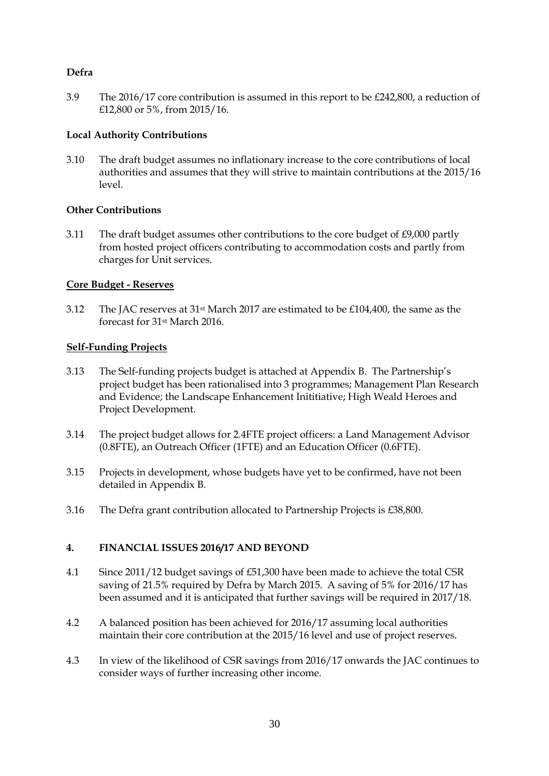# **Defra**

3.9 The 2016/17 core contribution is assumed in this report to be £242,800, a reduction of £12,800 or 5%, from 2015/16.

## **Local Authority Contributions**

3.10 The draft budget assumes no inflationary increase to the core contributions of local authorities and assumes that they will strive to maintain contributions at the 2015/16 level.

## **Other Contributions**

3.11 The draft budget assumes other contributions to the core budget of £9,000 partly from hosted project officers contributing to accommodation costs and partly from charges for Unit services.

# **Core Budget - Reserves**

3.12 The JAC reserves at 31st March 2017 are estimated to be £104,400, the same as the forecast for 31st March 2016.

# **Self-Funding Projects**

- 3.13 The Self-funding projects budget is attached at Appendix B. The Partnership's project budget has been rationalised into 3 programmes; Management Plan Research and Evidence; the Landscape Enhancement Inititiative; High Weald Heroes and Project Development.
- 3.14 The project budget allows for 2.4FTE project officers: a Land Management Advisor (0.8FTE), an Outreach Officer (1FTE) and an Education Officer (0.6FTE).
- 3.15 Projects in development, whose budgets have yet to be confirmed, have not been detailed in Appendix B.
- 3.16 The Defra grant contribution allocated to Partnership Projects is £38,800.

# **4. FINANCIAL ISSUES 2016/17 AND BEYOND**

- 4.1 Since 2011/12 budget savings of £51,300 have been made to achieve the total CSR saving of 21.5% required by Defra by March 2015. A saving of 5% for 2016/17 has been assumed and it is anticipated that further savings will be required in 2017/18.
- 4.2 A balanced position has been achieved for 2016/17 assuming local authorities maintain their core contribution at the 2015/16 level and use of project reserves.
- 4.3 In view of the likelihood of CSR savings from 2016/17 onwards the JAC continues to consider ways of further increasing other income.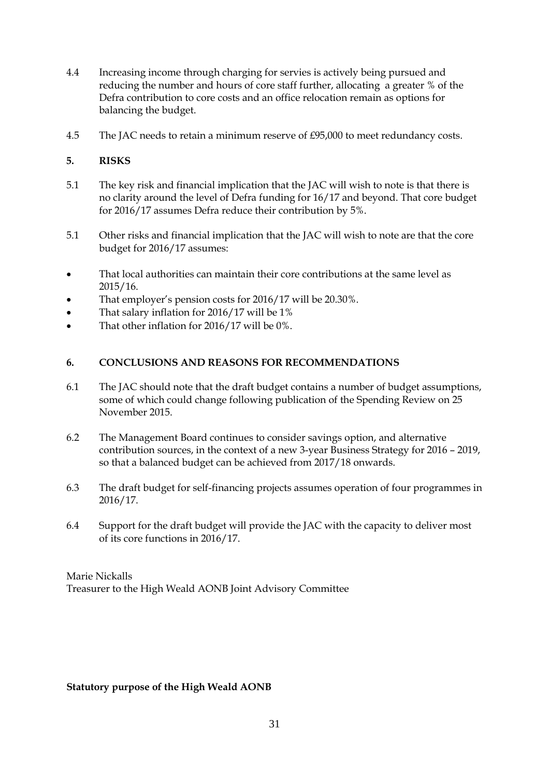- 4.4 Increasing income through charging for servies is actively being pursued and reducing the number and hours of core staff further, allocating a greater % of the Defra contribution to core costs and an office relocation remain as options for balancing the budget.
- 4.5 The JAC needs to retain a minimum reserve of £95,000 to meet redundancy costs.

# **5. RISKS**

- 5.1 The key risk and financial implication that the JAC will wish to note is that there is no clarity around the level of Defra funding for 16/17 and beyond. That core budget for 2016/17 assumes Defra reduce their contribution by 5%.
- 5.1 Other risks and financial implication that the JAC will wish to note are that the core budget for 2016/17 assumes:
- That local authorities can maintain their core contributions at the same level as 2015/16.
- That employer's pension costs for 2016/17 will be 20.30%.
- That salary inflation for 2016/17 will be 1%
- That other inflation for 2016/17 will be 0%.

# **6. CONCLUSIONS AND REASONS FOR RECOMMENDATIONS**

- 6.1 The JAC should note that the draft budget contains a number of budget assumptions, some of which could change following publication of the Spending Review on 25 November 2015.
- 6.2 The Management Board continues to consider savings option, and alternative contribution sources, in the context of a new 3-year Business Strategy for 2016 – 2019, so that a balanced budget can be achieved from 2017/18 onwards.
- 6.3 The draft budget for self-financing projects assumes operation of four programmes in 2016/17.
- 6.4 Support for the draft budget will provide the JAC with the capacity to deliver most of its core functions in 2016/17.

Marie Nickalls Treasurer to the High Weald AONB Joint Advisory Committee

## **Statutory purpose of the High Weald AONB**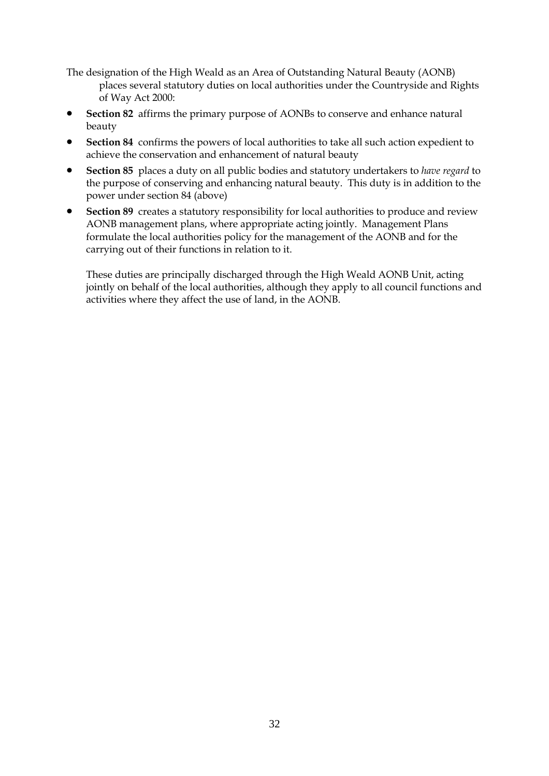The designation of the High Weald as an Area of Outstanding Natural Beauty (AONB) places several statutory duties on local authorities under the Countryside and Rights of Way Act 2000:

- **Section 82** affirms the primary purpose of AONBs to conserve and enhance natural beauty
- **Section 84** confirms the powers of local authorities to take all such action expedient to achieve the conservation and enhancement of natural beauty
- **Section 85** places a duty on all public bodies and statutory undertakers to *have regard* to the purpose of conserving and enhancing natural beauty. This duty is in addition to the power under section 84 (above)
- **Section 89** creates a statutory responsibility for local authorities to produce and review AONB management plans, where appropriate acting jointly. Management Plans formulate the local authorities policy for the management of the AONB and for the carrying out of their functions in relation to it.

These duties are principally discharged through the High Weald AONB Unit, acting jointly on behalf of the local authorities, although they apply to all council functions and activities where they affect the use of land, in the AONB.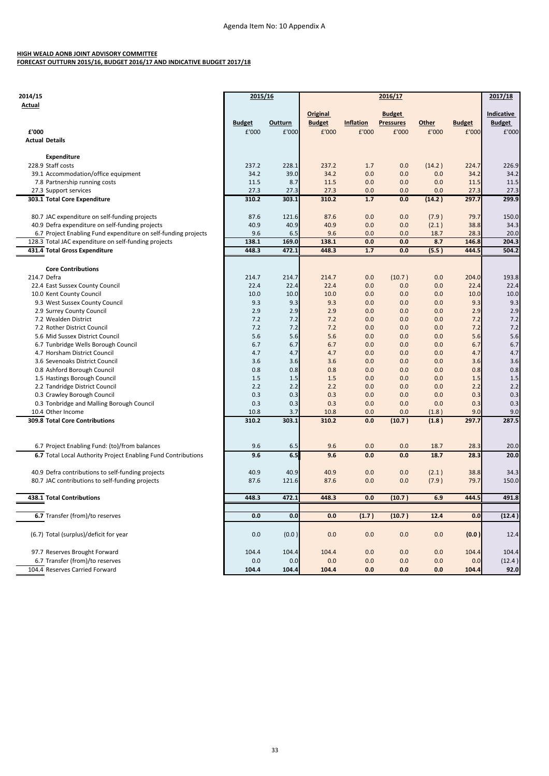#### **HIGH WEALD AONB JOINT ADVISORY COMMITTEE FORECAST OUTTURN 2015/16, BUDGET 2016/17 AND INDICATIVE BUDGET 2017/18**

| 2014/15                                                        | 2015/16       |            |               | 2017/18          |                  |            |               |               |
|----------------------------------------------------------------|---------------|------------|---------------|------------------|------------------|------------|---------------|---------------|
| <b>Actual</b>                                                  |               |            |               |                  | 2016/17          |            |               |               |
|                                                                |               |            | Original      |                  | <b>Budget</b>    |            |               | Indicative    |
|                                                                | <b>Budget</b> | Outturn    | <b>Budget</b> | <b>Inflation</b> | <b>Pressures</b> | Other      | <b>Budget</b> | <b>Budget</b> |
| £'000                                                          | £'000         | £'000      | £'000         | £'000            | £'000            | £'000      | £'000         | £'000         |
| <b>Actual Details</b>                                          |               |            |               |                  |                  |            |               |               |
|                                                                |               |            |               |                  |                  |            |               |               |
| <b>Expenditure</b>                                             |               |            |               |                  |                  |            |               |               |
| 228.9 Staff costs                                              | 237.2         | 228.1      | 237.2         | 1.7              | 0.0              | (14.2)     | 224.7         | 226.9         |
| 39.1 Accommodation/office equipment                            | 34.2          | 39.0       | 34.2          | 0.0              | 0.0              | 0.0        | 34.2          | 34.2          |
| 7.8 Partnership running costs                                  | 11.5          | 8.7        | 11.5          | 0.0              | 0.0              | 0.0        | 11.5          | 11.5          |
| 27.3 Support services                                          | 27.3          | 27.3       | 27.3          | 0.0              | 0.0              | 0.0        | 27.3          | 27.3          |
| 303.1 Total Core Expenditure                                   | 310.2         | 303.1      | 310.2         | 1.7              | 0.0              | (14.2)     | 297.7         | 299.9         |
|                                                                |               |            |               |                  |                  |            |               |               |
| 80.7 JAC expenditure on self-funding projects                  | 87.6          | 121.6      | 87.6          | 0.0              | 0.0              | (7.9)      | 79.7          | 150.0         |
| 40.9 Defra expenditure on self-funding projects                | 40.9          | 40.9       | 40.9          | 0.0              | 0.0              | (2.1)      | 38.8          | 34.3          |
| 6.7 Project Enabling Fund expenditure on self-funding projects | 9.6           | 6.5        | 9.6           | 0.0              | 0.0              | 18.7       | 28.3          | 20.0          |
| 128.3 Total JAC expenditure on self-funding projects           | 138.1         | 169.0      | 138.1         | 0.0              | 0.0              | 8.7        | 146.8         | 204.3         |
| 431.4 Total Gross Expenditure                                  | 448.3         | 472.1      | 448.3         | 1.7              | 0.0              | (5.5)      | 444.5         | 504.2         |
|                                                                |               |            |               |                  |                  |            |               |               |
| <b>Core Contributions</b>                                      |               |            |               |                  |                  |            |               |               |
| 214.7 Defra                                                    | 214.7         | 214.7      | 214.7         | 0.0              | (10.7)           | 0.0        | 204.0         | 193.8         |
| 22.4 East Sussex County Council                                | 22.4          | 22.4       | 22.4          | 0.0              | 0.0              | 0.0        | 22.4          | 22.4          |
| 10.0 Kent County Council                                       | 10.0          | 10.0       | 10.0          | 0.0              | 0.0              | 0.0        | 10.0          | 10.0          |
| 9.3 West Sussex County Council                                 | 9.3           | 9.3        | 9.3           | 0.0              | 0.0              | 0.0        | 9.3           | 9.3           |
| 2.9 Surrey County Council                                      | 2.9           | 2.9        | 2.9           | 0.0              | 0.0              | 0.0        | 2.9           | 2.9           |
| 7.2 Wealden District                                           | 7.2           | 7.2        | 7.2           | 0.0              | 0.0              | 0.0        | 7.2           | 7.2           |
| 7.2 Rother District Council                                    | 7.2           | 7.2        | 7.2           | 0.0              | 0.0              | 0.0        | 7.2           | 7.2           |
| 5.6 Mid Sussex District Council                                | 5.6           | 5.6        | 5.6           | 0.0              | 0.0              | 0.0        | 5.6           | 5.6           |
| 6.7 Tunbridge Wells Borough Council                            | 6.7           | 6.7        | 6.7           | 0.0              | 0.0              | 0.0        | 6.7           | 6.7           |
| 4.7 Horsham District Council<br>3.6 Sevenoaks District Council | 4.7<br>3.6    | 4.7        | 4.7<br>3.6    | 0.0              | 0.0<br>0.0       | 0.0<br>0.0 | 4.7           | 4.7           |
|                                                                | 0.8           | 3.6<br>0.8 | 0.8           | 0.0<br>0.0       | 0.0              | 0.0        | 3.6<br>0.8    | 3.6<br>0.8    |
| 0.8 Ashford Borough Council<br>1.5 Hastings Borough Council    | 1.5           | 1.5        | 1.5           | 0.0              | 0.0              | 0.0        | 1.5           | 1.5           |
| 2.2 Tandridge District Council                                 | 2.2           | 2.2        | 2.2           | 0.0              | 0.0              | 0.0        | 2.2           | 2.2           |
| 0.3 Crawley Borough Council                                    | 0.3           | 0.3        | 0.3           | 0.0              | 0.0              | 0.0        | 0.3           | 0.3           |
| 0.3 Tonbridge and Malling Borough Council                      | 0.3           | 0.3        | 0.3           | 0.0              | 0.0              | 0.0        | 0.3           | 0.3           |
| 10.4 Other Income                                              | 10.8          | 3.7        | 10.8          | 0.0              | 0.0              | (1.8)      | 9.0           | 9.0           |
| 309.8 Total Core Contributions                                 | 310.2         | 303.1      | 310.2         | 0.0              | (10.7)           | (1.8)      | 297.7         | 287.5         |
|                                                                |               |            |               |                  |                  |            |               |               |
|                                                                |               |            |               |                  |                  |            |               |               |
| 6.7 Project Enabling Fund: (to)/from balances                  | 9.6           | 6.5        | 9.6           | 0.0              | 0.0              | 18.7       | 28.3          | 20.0          |
| 6.7 Total Local Authority Project Enabling Fund Contributions  | 9.6           | 6.5        | 9.6           | 0.0              | 0.0              | 18.7       | 28.3          | 20.0          |
|                                                                |               |            |               |                  |                  |            |               |               |
| 40.9 Defra contributions to self-funding projects              | 40.9          | 40.9       | 40.9          | 0.0              | 0.0              | (2.1)      | 38.8          | 34.3          |
| 80.7 JAC contributions to self-funding projects                | 87.6          | 121.6      | 87.6          | 0.0              | 0.0              | (7.9)      | 79.7          | 150.0         |
|                                                                |               |            |               |                  |                  |            |               |               |
| 438.1 Total Contributions                                      | 448.3         | 472.1      | 448.3         | 0.0              | (10.7)           | 6.9        | 444.5         | 491.8         |
|                                                                |               |            |               |                  |                  |            |               |               |
| 6.7 Transfer (from)/to reserves                                | 0.0           | 0.0        | 0.0           | (1.7)            | (10.7)           | 12.4       | 0.0           | (12.4)        |
|                                                                |               |            |               |                  |                  |            |               |               |
| (6.7) Total (surplus)/deficit for year                         | 0.0           | (0.0)      | 0.0           | 0.0              | 0.0              | 0.0        | (0.0)         | 12.4          |
|                                                                |               |            |               |                  |                  |            |               |               |
| 97.7 Reserves Brought Forward                                  | 104.4         | 104.4      | 104.4         | 0.0              | 0.0              | 0.0        | 104.4         | 104.4         |
| 6.7 Transfer (from)/to reserves                                | 0.0           | 0.0        | 0.0           | 0.0              | 0.0              | 0.0        | 0.0           | (12.4)        |
| 104.4 Reserves Carried Forward                                 | 104.4         | 104.4      | 104.4         | 0.0              | 0.0              | 0.0        | 104.4         | 92.0          |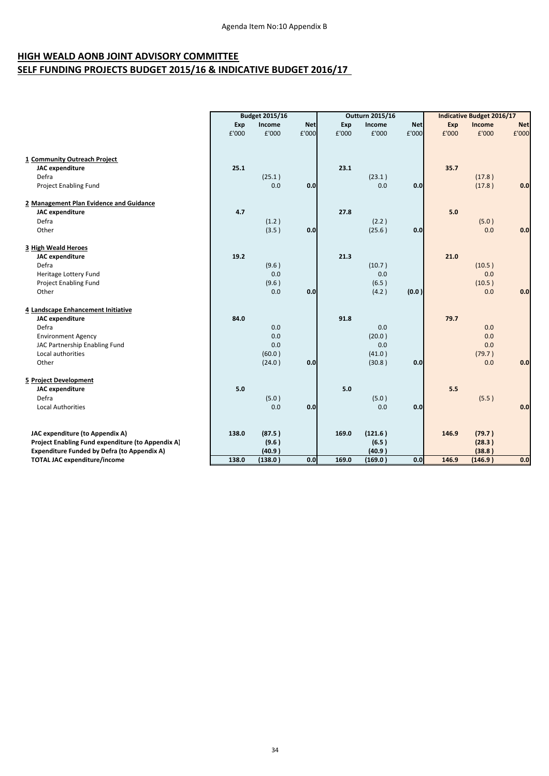# **HIGH WEALD AONB JOINT ADVISORY COMMITTEE SELF FUNDING PROJECTS BUDGET 2015/16 & INDICATIVE BUDGET 2016/17**

|                                                                                           | <b>Budget 2015/16</b> |                   |            | <b>Outturn 2015/16</b> |                   | <b>Indicative Budget 2016/17</b> |       |                   |            |
|-------------------------------------------------------------------------------------------|-----------------------|-------------------|------------|------------------------|-------------------|----------------------------------|-------|-------------------|------------|
|                                                                                           | Exp                   | Income            | <b>Net</b> | Exp                    | Income            | <b>Net</b>                       | Exp   | Income            | <b>Net</b> |
|                                                                                           | £'000                 | £'000             | £'000      | £'000                  | £'000             | £'000                            | £'000 | £'000             | £'000      |
|                                                                                           |                       |                   |            |                        |                   |                                  |       |                   |            |
|                                                                                           |                       |                   |            |                        |                   |                                  |       |                   |            |
| 1 Community Outreach Project<br><b>JAC</b> expenditure                                    | 25.1                  |                   |            | 23.1                   |                   |                                  | 35.7  |                   |            |
| Defra                                                                                     |                       | (25.1)            |            |                        | (23.1)            |                                  |       | (17.8)            |            |
| Project Enabling Fund                                                                     |                       | 0.0               | 0.0        |                        | 0.0               | 0.0                              |       | (17.8)            | 0.0        |
|                                                                                           |                       |                   |            |                        |                   |                                  |       |                   |            |
| 2 Management Plan Evidence and Guidance                                                   |                       |                   |            |                        |                   |                                  |       |                   |            |
| <b>JAC</b> expenditure                                                                    | 4.7                   |                   |            | 27.8                   |                   |                                  | 5.0   |                   |            |
| Defra                                                                                     |                       | (1.2)             |            |                        | (2.2)             |                                  |       | (5.0)             |            |
| Other                                                                                     |                       | (3.5)             | 0.0        |                        | (25.6)            | 0.0                              |       | 0.0               | 0.0        |
|                                                                                           |                       |                   |            |                        |                   |                                  |       |                   |            |
| 3 High Weald Heroes                                                                       |                       |                   |            |                        |                   |                                  |       |                   |            |
| <b>JAC</b> expenditure                                                                    | 19.2                  |                   |            | 21.3                   |                   |                                  | 21.0  |                   |            |
| Defra                                                                                     |                       | (9.6)             |            |                        | (10.7)            |                                  |       | (10.5)            |            |
| Heritage Lottery Fund                                                                     |                       | 0.0               |            |                        | 0.0               |                                  |       | 0.0               |            |
| <b>Project Enabling Fund</b>                                                              |                       | (9.6)             |            |                        | (6.5)             |                                  |       | (10.5)            |            |
| Other                                                                                     |                       | 0.0               | 0.0        |                        | (4.2)             | (0.0)                            |       | 0.0               | 0.0        |
| 4 Landscape Enhancement Initiative                                                        |                       |                   |            |                        |                   |                                  |       |                   |            |
| <b>JAC</b> expenditure                                                                    | 84.0                  |                   |            | 91.8                   |                   |                                  | 79.7  |                   |            |
| Defra                                                                                     |                       | 0.0               |            |                        | 0.0               |                                  |       | 0.0               |            |
| <b>Environment Agency</b>                                                                 |                       | 0.0               |            |                        | (20.0)            |                                  |       | 0.0               |            |
| JAC Partnership Enabling Fund                                                             |                       | 0.0               |            |                        | 0.0               |                                  |       | 0.0               |            |
| Local authorities                                                                         |                       | (60.0)            |            |                        | (41.0)            |                                  |       | (79.7)            |            |
| Other                                                                                     |                       | (24.0)            | 0.0        |                        | (30.8)            | 0.0                              |       | 0.0               | 0.0        |
|                                                                                           |                       |                   |            |                        |                   |                                  |       |                   |            |
| 5 Project Development                                                                     |                       |                   |            |                        |                   |                                  |       |                   |            |
| <b>JAC</b> expenditure                                                                    | 5.0                   |                   |            | 5.0                    |                   |                                  | 5.5   |                   |            |
| Defra                                                                                     |                       | (5.0)             |            |                        | (5.0)             |                                  |       | (5.5)             |            |
| <b>Local Authorities</b>                                                                  |                       | 0.0               | 0.0        |                        | 0.0               | 0.0                              |       |                   | 0.0        |
|                                                                                           |                       |                   |            |                        |                   |                                  |       |                   |            |
|                                                                                           |                       |                   |            |                        |                   |                                  |       |                   |            |
| JAC expenditure (to Appendix A)                                                           | 138.0                 | (87.5)            |            | 169.0                  | (121.6)           |                                  | 146.9 | (79.7)            |            |
| Project Enabling Fund expenditure (to Appendix A)                                         |                       | (9.6)             |            |                        | (6.5)             |                                  |       | (28.3)            |            |
| <b>Expenditure Funded by Defra (to Appendix A)</b><br><b>TOTAL JAC expenditure/income</b> | 138.0                 | (40.9)<br>(138.0) | 0.0        | 169.0                  | (40.9)<br>(169.0) | 0.0                              | 146.9 | (38.8)<br>(146.9) | 0.0        |
|                                                                                           |                       |                   |            |                        |                   |                                  |       |                   |            |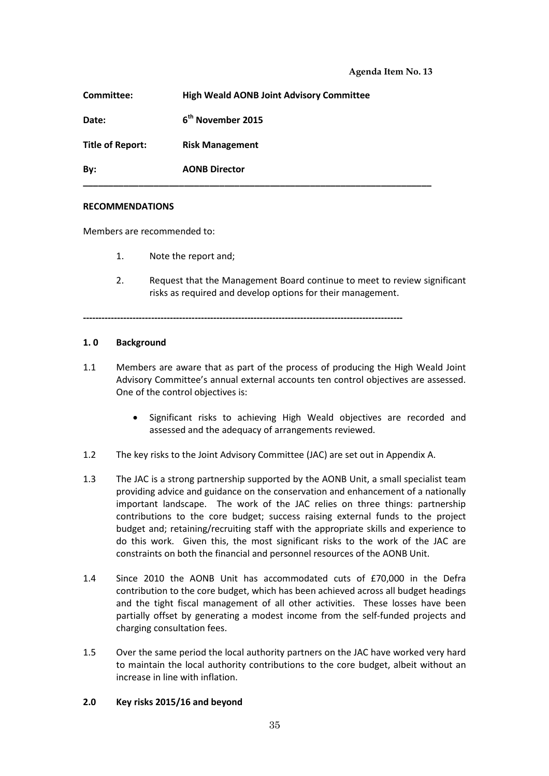| Date:                   | 6 <sup>th</sup> November 2015 |
|-------------------------|-------------------------------|
| <b>Title of Report:</b> | <b>Risk Management</b>        |
| By:                     | <b>AONB Director</b>          |

#### **RECOMMENDATIONS**

Members are recommended to:

- 1. Note the report and;
- 2. Request that the Management Board continue to meet to review significant risks as required and develop options for their management.

**-------------------------------------------------------------------------------------------------------**

#### **1. 0 Background**

- 1.1 Members are aware that as part of the process of producing the High Weald Joint Advisory Committee's annual external accounts ten control objectives are assessed. One of the control objectives is:
	- Significant risks to achieving High Weald objectives are recorded and assessed and the adequacy of arrangements reviewed.
- 1.2 The key risks to the Joint Advisory Committee (JAC) are set out in Appendix A.
- 1.3 The JAC is a strong partnership supported by the AONB Unit, a small specialist team providing advice and guidance on the conservation and enhancement of a nationally important landscape. The work of the JAC relies on three things: partnership contributions to the core budget; success raising external funds to the project budget and; retaining/recruiting staff with the appropriate skills and experience to do this work. Given this, the most significant risks to the work of the JAC are constraints on both the financial and personnel resources of the AONB Unit.
- 1.4 Since 2010 the AONB Unit has accommodated cuts of £70,000 in the Defra contribution to the core budget, which has been achieved across all budget headings and the tight fiscal management of all other activities. These losses have been partially offset by generating a modest income from the self-funded projects and charging consultation fees.
- 1.5 Over the same period the local authority partners on the JAC have worked very hard to maintain the local authority contributions to the core budget, albeit without an increase in line with inflation.

#### **2.0 Key risks 2015/16 and beyond**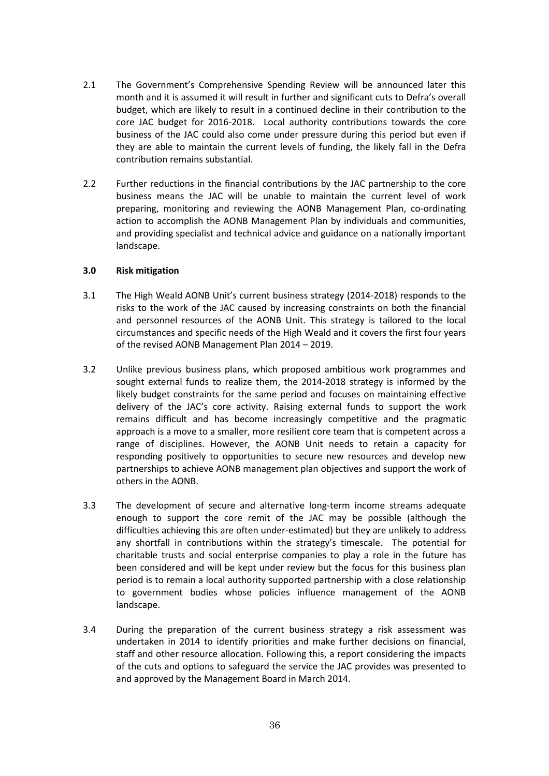- 2.1 The Government's Comprehensive Spending Review will be announced later this month and it is assumed it will result in further and significant cuts to Defra's overall budget, which are likely to result in a continued decline in their contribution to the core JAC budget for 2016-2018. Local authority contributions towards the core business of the JAC could also come under pressure during this period but even if they are able to maintain the current levels of funding, the likely fall in the Defra contribution remains substantial.
- 2.2 Further reductions in the financial contributions by the JAC partnership to the core business means the JAC will be unable to maintain the current level of work preparing, monitoring and reviewing the AONB Management Plan, co-ordinating action to accomplish the AONB Management Plan by individuals and communities, and providing specialist and technical advice and guidance on a nationally important landscape.

#### **3.0 Risk mitigation**

- 3.1 The High Weald AONB Unit's current business strategy (2014-2018) responds to the risks to the work of the JAC caused by increasing constraints on both the financial and personnel resources of the AONB Unit. This strategy is tailored to the local circumstances and specific needs of the High Weald and it covers the first four years of the revised AONB Management Plan 2014 – 2019.
- 3.2 Unlike previous business plans, which proposed ambitious work programmes and sought external funds to realize them, the 2014-2018 strategy is informed by the likely budget constraints for the same period and focuses on maintaining effective delivery of the JAC's core activity. Raising external funds to support the work remains difficult and has become increasingly competitive and the pragmatic approach is a move to a smaller, more resilient core team that is competent across a range of disciplines. However, the AONB Unit needs to retain a capacity for responding positively to opportunities to secure new resources and develop new partnerships to achieve AONB management plan objectives and support the work of others in the AONB.
- 3.3 The development of secure and alternative long-term income streams adequate enough to support the core remit of the JAC may be possible (although the difficulties achieving this are often under-estimated) but they are unlikely to address any shortfall in contributions within the strategy's timescale. The potential for charitable trusts and social enterprise companies to play a role in the future has been considered and will be kept under review but the focus for this business plan period is to remain a local authority supported partnership with a close relationship to government bodies whose policies influence management of the AONB landscape.
- 3.4 During the preparation of the current business strategy a risk assessment was undertaken in 2014 to identify priorities and make further decisions on financial, staff and other resource allocation. Following this, a report considering the impacts of the cuts and options to safeguard the service the JAC provides was presented to and approved by the Management Board in March 2014.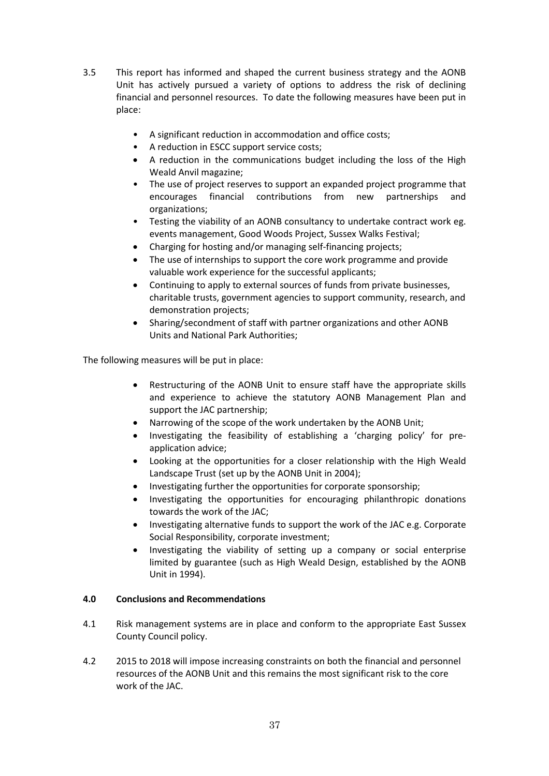- 3.5 This report has informed and shaped the current business strategy and the AONB Unit has actively pursued a variety of options to address the risk of declining financial and personnel resources. To date the following measures have been put in place:
	- A significant reduction in accommodation and office costs;
	- A reduction in ESCC support service costs;
	- A reduction in the communications budget including the loss of the High Weald Anvil magazine;
	- The use of project reserves to support an expanded project programme that encourages financial contributions from new partnerships and organizations;
	- Testing the viability of an AONB consultancy to undertake contract work eg. events management, Good Woods Project, Sussex Walks Festival;
	- Charging for hosting and/or managing self-financing projects;
	- The use of internships to support the core work programme and provide valuable work experience for the successful applicants;
	- Continuing to apply to external sources of funds from private businesses, charitable trusts, government agencies to support community, research, and demonstration projects;
	- Sharing/secondment of staff with partner organizations and other AONB Units and National Park Authorities;

The following measures will be put in place:

- Restructuring of the AONB Unit to ensure staff have the appropriate skills and experience to achieve the statutory AONB Management Plan and support the JAC partnership;
- Narrowing of the scope of the work undertaken by the AONB Unit;
- Investigating the feasibility of establishing a 'charging policy' for preapplication advice;
- Looking at the opportunities for a closer relationship with the High Weald Landscape Trust (set up by the AONB Unit in 2004);
- Investigating further the opportunities for corporate sponsorship;
- Investigating the opportunities for encouraging philanthropic donations towards the work of the JAC;
- Investigating alternative funds to support the work of the JAC e.g. Corporate Social Responsibility, corporate investment;
- Investigating the viability of setting up a company or social enterprise limited by guarantee (such as High Weald Design, established by the AONB Unit in 1994).

## **4.0 Conclusions and Recommendations**

- 4.1 Risk management systems are in place and conform to the appropriate East Sussex County Council policy.
- 4.2 2015 to 2018 will impose increasing constraints on both the financial and personnel resources of the AONB Unit and this remains the most significant risk to the core work of the JAC.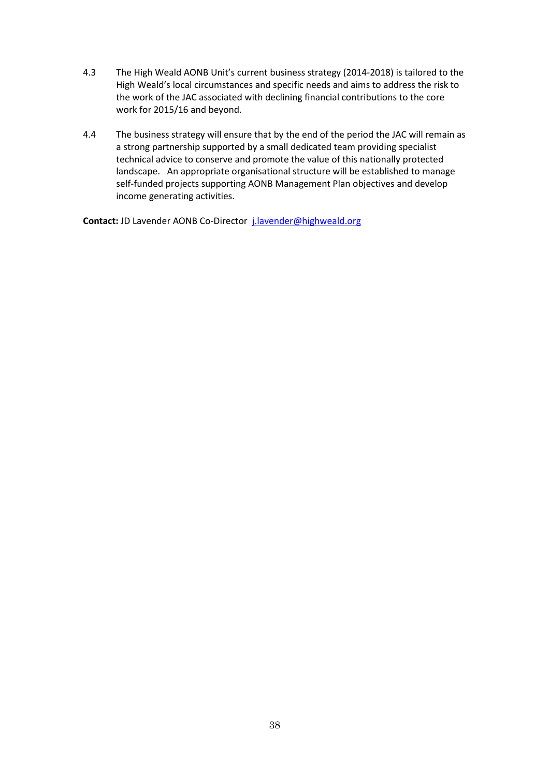- 4.3 The High Weald AONB Unit's current business strategy (2014-2018) is tailored to the High Weald's local circumstances and specific needs and aims to address the risk to the work of the JAC associated with declining financial contributions to the core work for 2015/16 and beyond.
- 4.4 The business strategy will ensure that by the end of the period the JAC will remain as a strong partnership supported by a small dedicated team providing specialist technical advice to conserve and promote the value of this nationally protected landscape. An appropriate organisational structure will be established to manage self-funded projects supporting AONB Management Plan objectives and develop income generating activities.

**Contact:** JD Lavender AONB Co-Director j.lavender@highweald.org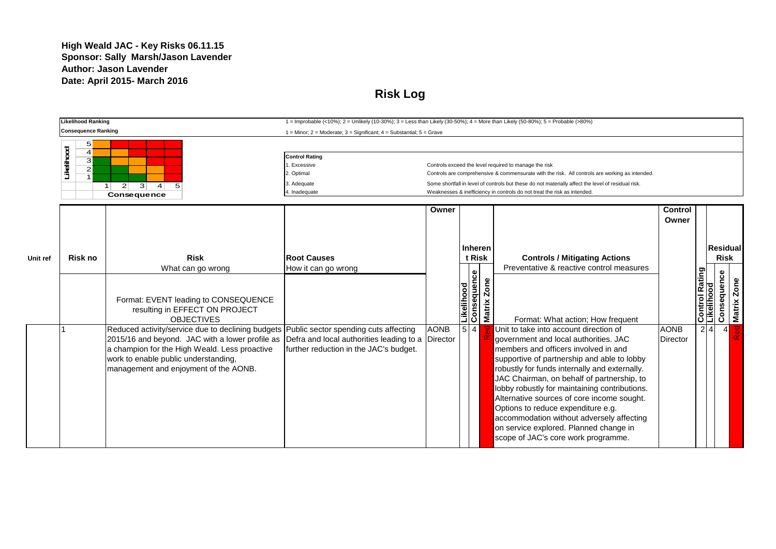### **High Weald JAC - Key Risks 06.11.15 Sponsor: Sally Marsh/Jason Lavender Author: Jason Lavender Date: April 2015- March 2016**

**Risk Log**

|          | <b>Likelihood Ranking</b>                  |                                                                 | 1 = Improbable (<10%); 2 = Unlikely (10-30%); 3 = Less than Likely (30-50%); 4 = More than Likely (50-80%); 5 = Probable (>80%) |             |                           |               |                                                                                                                                                                                |                 |                              |     |                         |
|----------|--------------------------------------------|-----------------------------------------------------------------|---------------------------------------------------------------------------------------------------------------------------------|-------------|---------------------------|---------------|--------------------------------------------------------------------------------------------------------------------------------------------------------------------------------|-----------------|------------------------------|-----|-------------------------|
|          | <b>Consequence Ranking</b>                 |                                                                 | 1 = Minor; 2 = Moderate; 3 = Significant; 4 = Substantial; 5 = Grave                                                            |             |                           |               |                                                                                                                                                                                |                 |                              |     |                         |
|          | 5 <sup>1</sup>                             |                                                                 |                                                                                                                                 |             |                           |               |                                                                                                                                                                                |                 |                              |     |                         |
|          | Likelihood<br>$\overline{\mathbf{4}}$<br>3 |                                                                 | <b>Control Rating</b>                                                                                                           |             |                           |               |                                                                                                                                                                                |                 |                              |     |                         |
|          | $\overline{2}$                             |                                                                 | Excessive                                                                                                                       |             |                           |               | Controls exceed the level required to manage the risk                                                                                                                          |                 |                              |     |                         |
|          | $\overline{1}$                             |                                                                 | . Optimal                                                                                                                       |             |                           |               | Controls are comprehensive & commensurate with the risk. All controls are working as intended.                                                                                 |                 |                              |     |                         |
|          |                                            | 2 <sup>1</sup><br>$\vert$ 3<br>$\vert$ 4<br>5<br>1 <sup>1</sup> | 3. Adequate                                                                                                                     |             |                           |               | Some shortfall in level of controls but these do not materially affect the level of residual risk.<br>Weaknesses & inefficiency in controls do not treat the risk as intended. |                 |                              |     |                         |
|          |                                            | Consequence                                                     | . Inadequate                                                                                                                    |             |                           |               |                                                                                                                                                                                |                 |                              |     |                         |
|          |                                            |                                                                 |                                                                                                                                 | Owner       |                           |               |                                                                                                                                                                                | <b>Control</b>  |                              |     |                         |
|          |                                            |                                                                 |                                                                                                                                 |             |                           |               |                                                                                                                                                                                | Owner           |                              |     |                         |
|          |                                            |                                                                 |                                                                                                                                 |             |                           |               |                                                                                                                                                                                |                 |                              |     |                         |
|          |                                            |                                                                 |                                                                                                                                 |             |                           |               |                                                                                                                                                                                |                 |                              |     |                         |
|          |                                            |                                                                 |                                                                                                                                 |             |                           | Inheren       |                                                                                                                                                                                |                 |                              |     | Residual                |
| Unit ref | Risk no                                    | <b>Risk</b>                                                     | <b>Root Causes</b>                                                                                                              |             |                           | t Risk        | <b>Controls / Mitigating Actions</b>                                                                                                                                           |                 |                              |     | <b>Risk</b>             |
|          |                                            | What can go wrong                                               | How it can go wrong                                                                                                             |             |                           |               | Preventative & reactive control measures                                                                                                                                       |                 |                              |     |                         |
|          |                                            |                                                                 |                                                                                                                                 |             | Likelihood<br>Consequence |               |                                                                                                                                                                                |                 | Control Rating<br>Likelihood |     | Consequence             |
|          |                                            |                                                                 |                                                                                                                                 |             |                           | Zone          |                                                                                                                                                                                |                 |                              |     | Zone                    |
|          |                                            | Format: EVENT leading to CONSEQUENCE                            |                                                                                                                                 |             |                           |               |                                                                                                                                                                                |                 |                              |     | Matrix                  |
|          |                                            | resulting in EFFECT ON PROJECT                                  |                                                                                                                                 |             |                           | <b>Matrix</b> |                                                                                                                                                                                |                 |                              |     |                         |
|          |                                            | <b>OBJECTIVES</b>                                               |                                                                                                                                 |             |                           |               | Format: What action; How frequent                                                                                                                                              |                 |                              |     |                         |
|          |                                            | Reduced activity/service due to declining budgets               | Public sector spending cuts affecting                                                                                           | <b>AONB</b> | $5\overline{4}$           |               | Unit to take into account direction of                                                                                                                                         | <b>AONB</b>     |                              | 2 4 | __<br>მ<br>$\mathbf{A}$ |
|          |                                            | 2015/16 and beyond. JAC with a lower profile as                 | Defra and local authorities leading to a                                                                                        | Director    |                           |               | government and local authorities. JAC                                                                                                                                          | <b>Director</b> |                              |     |                         |
|          |                                            | a champion for the High Weald. Less proactive                   | further reduction in the JAC's budget.                                                                                          |             |                           |               | members and officers involved in and                                                                                                                                           |                 |                              |     |                         |
|          |                                            | work to enable public understanding,                            |                                                                                                                                 |             |                           |               | supportive of partnership and able to lobby                                                                                                                                    |                 |                              |     |                         |
|          |                                            | management and enjoyment of the AONB.                           |                                                                                                                                 |             |                           |               | robustly for funds internally and externally.                                                                                                                                  |                 |                              |     |                         |
|          |                                            |                                                                 |                                                                                                                                 |             |                           |               | JAC Chairman, on behalf of partnership, to                                                                                                                                     |                 |                              |     |                         |
|          |                                            |                                                                 |                                                                                                                                 |             |                           |               | lobby robustly for maintaining contributions.                                                                                                                                  |                 |                              |     |                         |
|          |                                            |                                                                 |                                                                                                                                 |             |                           |               | Alternative sources of core income sought.                                                                                                                                     |                 |                              |     |                         |
|          |                                            |                                                                 |                                                                                                                                 |             |                           |               | Options to reduce expenditure e.g.                                                                                                                                             |                 |                              |     |                         |
|          |                                            |                                                                 |                                                                                                                                 |             |                           |               | accommodation without adversely affecting                                                                                                                                      |                 |                              |     |                         |
|          |                                            |                                                                 |                                                                                                                                 |             |                           |               | on service explored. Planned change in                                                                                                                                         |                 |                              |     |                         |
|          |                                            |                                                                 |                                                                                                                                 |             |                           |               | scope of JAC's core work programme.                                                                                                                                            |                 |                              |     |                         |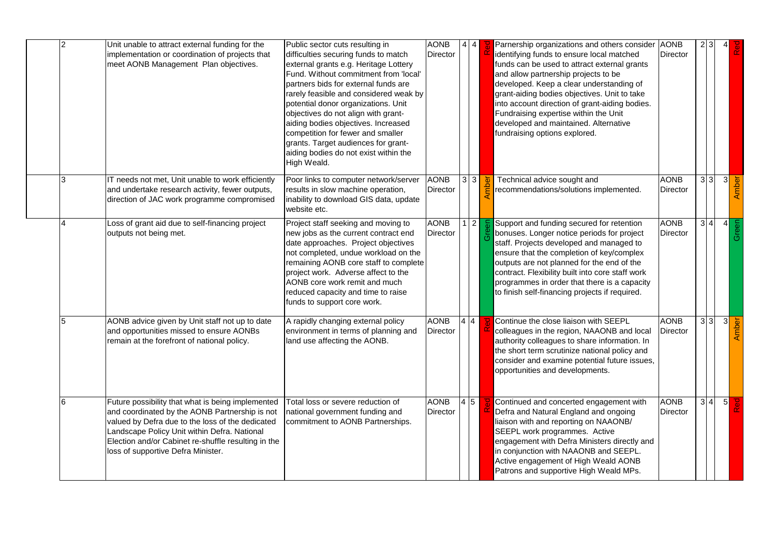| $\overline{2}$ | Unit unable to attract external funding for the<br>implementation or coordination of projects that<br>meet AONB Management Plan objectives.                                                                                                                                                          | Public sector cuts resulting in<br>difficulties securing funds to match<br>external grants e.g. Heritage Lottery<br>Fund. Without commitment from 'local'<br>partners bids for external funds are<br>rarely feasible and considered weak by<br>potential donor organizations. Unit<br>objectives do not align with grant-<br>aiding bodies objectives. Increased<br>competition for fewer and smaller<br>grants. Target audiences for grant-<br>aiding bodies do not exist within the<br>High Weald. | <b>AONB</b><br>Director | 4 4             |          | Parnership organizations and others consider AONB<br>identifying funds to ensure local matched<br>funds can be used to attract external grants<br>and allow partnership projects to be<br>developed. Keep a clear understanding of<br>grant-aiding bodies objectives. Unit to take<br>into account direction of grant-aiding bodies.<br>Fundraising expertise within the Unit<br>developed and maintained. Alternative<br>fundraising options explored. | <b>Director</b>                | $2 \overline{3}$ |             |
|----------------|------------------------------------------------------------------------------------------------------------------------------------------------------------------------------------------------------------------------------------------------------------------------------------------------------|------------------------------------------------------------------------------------------------------------------------------------------------------------------------------------------------------------------------------------------------------------------------------------------------------------------------------------------------------------------------------------------------------------------------------------------------------------------------------------------------------|-------------------------|-----------------|----------|---------------------------------------------------------------------------------------------------------------------------------------------------------------------------------------------------------------------------------------------------------------------------------------------------------------------------------------------------------------------------------------------------------------------------------------------------------|--------------------------------|------------------|-------------|
|                | IT needs not met, Unit unable to work efficiently<br>and undertake research activity, fewer outputs,<br>direction of JAC work programme compromised                                                                                                                                                  | Poor links to computer network/server<br>results in slow machine operation,<br>inability to download GIS data, update<br>website etc.                                                                                                                                                                                                                                                                                                                                                                | <b>AONB</b><br>Director | $3 \mid 3 \mid$ |          | Technical advice sought and<br>recommendations/solutions implemented.                                                                                                                                                                                                                                                                                                                                                                                   | <b>AONB</b><br>Director        | 3 3              | 3<br>Amber  |
|                | Loss of grant aid due to self-financing project<br>outputs not being met.                                                                                                                                                                                                                            | Project staff seeking and moving to<br>new jobs as the current contract end<br>date approaches. Project objectives<br>not completed, undue workload on the<br>remaining AONB core staff to complete<br>project work. Adverse affect to the<br>AONB core work remit and much<br>reduced capacity and time to raise<br>funds to support core work.                                                                                                                                                     | <b>AONB</b><br>Director |                 | $2 \mid$ | Support and funding secured for retention<br>bonuses. Longer notice periods for project<br>staff. Projects developed and managed to<br>ensure that the completion of key/complex<br>outputs are not planned for the end of the<br>contract. Flexibility built into core staff work<br>programmes in order that there is a capacity<br>to finish self-financing projects if required.                                                                    | <b>AONB</b><br>Director        | 3 4              | Green<br>4  |
| 5              | AONB advice given by Unit staff not up to date<br>and opportunities missed to ensure AONBs<br>remain at the forefront of national policy.                                                                                                                                                            | A rapidly changing external policy<br>environment in terms of planning and<br>land use affecting the AONB.                                                                                                                                                                                                                                                                                                                                                                                           | <b>AONB</b><br>Director | 4 4             |          | Continue the close liaison with SEEPL<br>colleagues in the region, NAAONB and local<br>authority colleagues to share information. In<br>the short term scrutinize national policy and<br>consider and examine potential future issues,<br>opportunities and developments.                                                                                                                                                                               | <b>AONB</b><br><b>Director</b> | 33               | us<br>Amber |
| 6              | Future possibility that what is being implemented<br>and coordinated by the AONB Partnership is not<br>valued by Defra due to the loss of the dedicated<br>Landscape Policy Unit within Defra. National<br>Election and/or Cabinet re-shuffle resulting in the<br>loss of supportive Defra Minister. | Total loss or severe reduction of<br>national government funding and<br>commitment to AONB Partnerships.                                                                                                                                                                                                                                                                                                                                                                                             | <b>AONB</b><br>Director | 4 5             |          | Continued and concerted engagement with<br>Defra and Natural England and ongoing<br>liaison with and reporting on NAAONB/<br>SEEPL work programmes. Active<br>engagement with Defra Ministers directly and<br>in conjunction with NAAONB and SEEPL.<br>Active engagement of High Weald AONB<br>Patrons and supportive High Weald MPs.                                                                                                                   | <b>AONB</b><br><b>Director</b> | 3 4              | 5           |